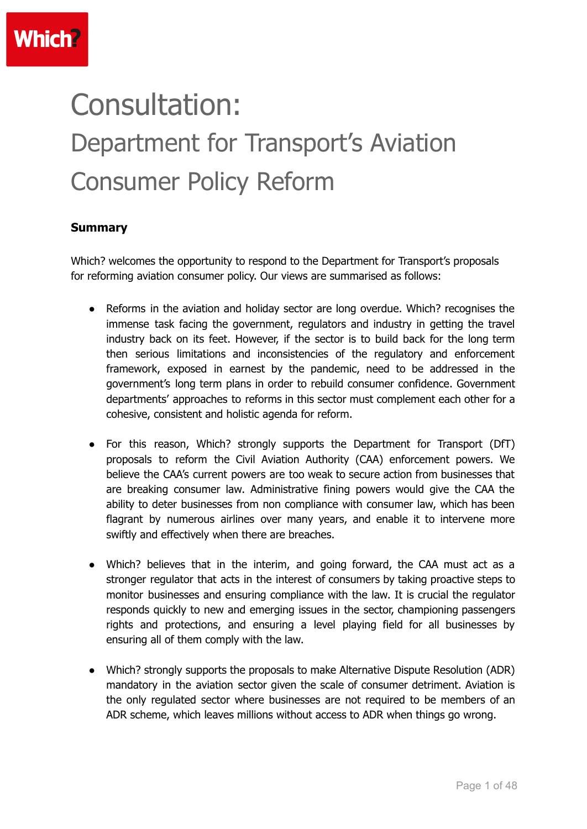# Consultation: Department for Transport's Aviation Consumer Policy Reform

#### **Summary**

Which? welcomes the opportunity to respond to the Department for Transport's proposals for reforming aviation consumer policy. Our views are summarised as follows:

- Reforms in the aviation and holiday sector are long overdue. Which? recognises the immense task facing the government, regulators and industry in getting the travel industry back on its feet. However, if the sector is to build back for the long term then serious limitations and inconsistencies of the regulatory and enforcement framework, exposed in earnest by the pandemic, need to be addressed in the government's long term plans in order to rebuild consumer confidence. Government departments' approaches to reforms in this sector must complement each other for a cohesive, consistent and holistic agenda for reform.
- For this reason, Which? strongly supports the Department for Transport (DfT) proposals to reform the Civil Aviation Authority (CAA) enforcement powers. We believe the CAA's current powers are too weak to secure action from businesses that are breaking consumer law. Administrative fining powers would give the CAA the ability to deter businesses from non compliance with consumer law, which has been flagrant by numerous airlines over many years, and enable it to intervene more swiftly and effectively when there are breaches.
- Which? believes that in the interim, and going forward, the CAA must act as a stronger regulator that acts in the interest of consumers by taking proactive steps to monitor businesses and ensuring compliance with the law. It is crucial the regulator responds quickly to new and emerging issues in the sector, championing passengers rights and protections, and ensuring a level playing field for all businesses by ensuring all of them comply with the law.
- Which? strongly supports the proposals to make Alternative Dispute Resolution (ADR) mandatory in the aviation sector given the scale of consumer detriment. Aviation is the only regulated sector where businesses are not required to be members of an ADR scheme, which leaves millions without access to ADR when things go wrong.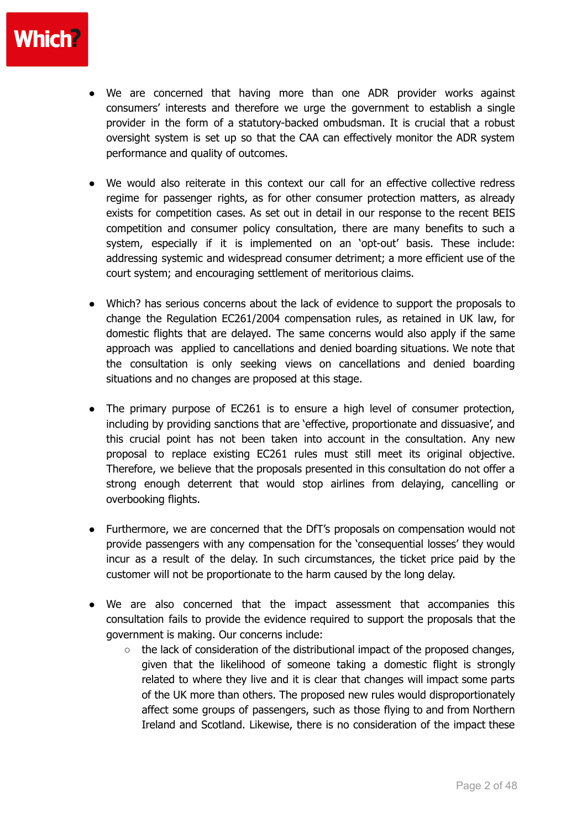

- We are concerned that having more than one ADR provider works against consumers' interests and therefore we urge the government to establish a single provider in the form of a statutory-backed ombudsman. It is crucial that a robust oversight system is set up so that the CAA can effectively monitor the ADR system performance and quality of outcomes.
- We would also reiterate in this context our call for an effective collective redress regime for passenger rights, as for other consumer protection matters, as already exists for competition cases. As set out in detail in our response to the recent BEIS competition and consumer policy consultation, there are many benefits to such a system, especially if it is implemented on an 'opt-out' basis. These include: addressing systemic and widespread consumer detriment; a more efficient use of the court system; and encouraging settlement of meritorious claims.
- Which? has serious concerns about the lack of evidence to support the proposals to change the Regulation EC261/2004 compensation rules, as retained in UK law, for domestic flights that are delayed. The same concerns would also apply if the same approach was applied to cancellations and denied boarding situations. We note that the consultation is only seeking views on cancellations and denied boarding situations and no changes are proposed at this stage.
- The primary purpose of EC261 is to ensure a high level of consumer protection, including by providing sanctions that are 'effective, proportionate and dissuasive', and this crucial point has not been taken into account in the consultation. Any new proposal to replace existing EC261 rules must still meet its original objective. Therefore, we believe that the proposals presented in this consultation do not offer a strong enough deterrent that would stop airlines from delaying, cancelling or overbooking flights.
- Furthermore, we are concerned that the DfT's proposals on compensation would not provide passengers with any compensation for the 'consequential losses' they would incur as a result of the delay. In such circumstances, the ticket price paid by the customer will not be proportionate to the harm caused by the long delay.
- We are also concerned that the impact assessment that accompanies this consultation fails to provide the evidence required to support the proposals that the government is making. Our concerns include:
	- $\circ$  the lack of consideration of the distributional impact of the proposed changes, given that the likelihood of someone taking a domestic flight is strongly related to where they live and it is clear that changes will impact some parts of the UK more than others. The proposed new rules would disproportionately affect some groups of passengers, such as those flying to and from Northern Ireland and Scotland. Likewise, there is no consideration of the impact these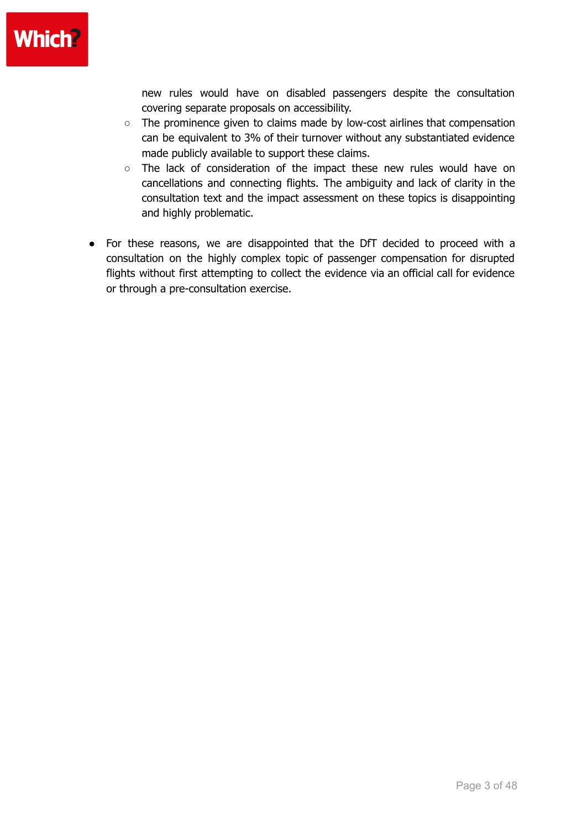

new rules would have on disabled passengers despite the consultation covering separate proposals on accessibility.

- The prominence given to claims made by low-cost airlines that compensation can be equivalent to 3% of their turnover without any substantiated evidence made publicly available to support these claims.
- The lack of consideration of the impact these new rules would have on cancellations and connecting flights. The ambiguity and lack of clarity in the consultation text and the impact assessment on these topics is disappointing and highly problematic.
- For these reasons, we are disappointed that the DfT decided to proceed with a consultation on the highly complex topic of passenger compensation for disrupted flights without first attempting to collect the evidence via an official call for evidence or through a pre-consultation exercise.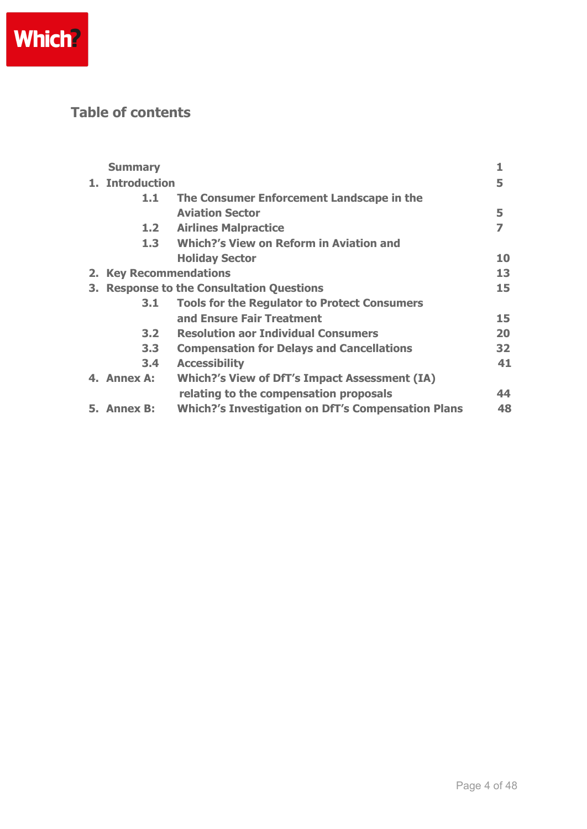

## **Table of contents**

|                | <b>Summary</b>                                |                                                           | 1  |  |  |
|----------------|-----------------------------------------------|-----------------------------------------------------------|----|--|--|
|                | 1. Introduction                               |                                                           |    |  |  |
|                | 1.1                                           | The Consumer Enforcement Landscape in the                 |    |  |  |
|                |                                               | <b>Aviation Sector</b>                                    | 5  |  |  |
|                | 1.2                                           | <b>Airlines Malpractice</b>                               | 7  |  |  |
|                | 1.3                                           | <b>Which?'s View on Reform in Aviation and</b>            |    |  |  |
|                |                                               | <b>Holiday Sector</b>                                     | 10 |  |  |
| 2 <sub>1</sub> | <b>Key Recommendations</b>                    |                                                           |    |  |  |
| З.             | <b>Response to the Consultation Questions</b> |                                                           |    |  |  |
|                | 3.1                                           | <b>Tools for the Regulator to Protect Consumers</b>       |    |  |  |
|                |                                               | and Ensure Fair Treatment                                 | 15 |  |  |
|                | 3.2 <sub>1</sub>                              | <b>Resolution aor Individual Consumers</b>                | 20 |  |  |
|                | 3.3                                           | <b>Compensation for Delays and Cancellations</b>          | 32 |  |  |
|                | 3.4                                           | <b>Accessibility</b>                                      | 41 |  |  |
|                | 4. Annex A:                                   | <b>Which?'s View of DfT's Impact Assessment (IA)</b>      |    |  |  |
|                |                                               | relating to the compensation proposals                    | 44 |  |  |
|                | 5. Annex B:                                   | <b>Which?'s Investigation on DfT's Compensation Plans</b> | 48 |  |  |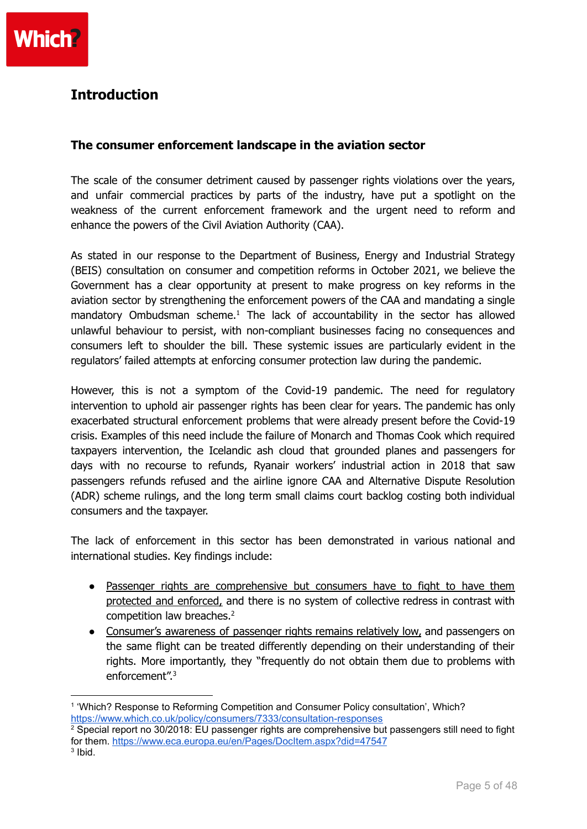## **Introduction**

#### **The consumer enforcement landscape in the aviation sector**

The scale of the consumer detriment caused by passenger rights violations over the years, and unfair commercial practices by parts of the industry, have put a spotlight on the weakness of the current enforcement framework and the urgent need to reform and enhance the powers of the Civil Aviation Authority (CAA).

As stated in our response to the Department of Business, Energy and Industrial Strategy (BEIS) consultation on consumer and competition reforms in October 2021, we believe the Government has a clear opportunity at present to make progress on key reforms in the aviation sector by strengthening the enforcement powers of the CAA and mandating a single mandatory Ombudsman scheme.<sup>1</sup> The lack of accountability in the sector has allowed unlawful behaviour to persist, with non-compliant businesses facing no consequences and consumers left to shoulder the bill. These systemic issues are particularly evident in the regulators' failed attempts at enforcing consumer protection law during the pandemic.

However, this is not a symptom of the Covid-19 pandemic. The need for regulatory intervention to uphold air passenger rights has been clear for years. The pandemic has only exacerbated structural enforcement problems that were already present before the Covid-19 crisis. Examples of this need include the failure of Monarch and Thomas Cook which required taxpayers intervention, the Icelandic ash cloud that grounded planes and passengers for days with no recourse to refunds, Ryanair workers' industrial action in 2018 that saw passengers refunds refused and the airline ignore CAA and Alternative Dispute Resolution (ADR) scheme rulings, and the long term small claims court backlog costing both individual consumers and the taxpayer.

The lack of enforcement in this sector has been demonstrated in various national and international studies. Key findings include:

- Passenger rights are comprehensive but consumers have to fight to have them protected and enforced, and there is no system of collective redress in contrast with competition law breaches. 2
- Consumer's awareness of passenger rights remains relatively low, and passengers on the same flight can be treated differently depending on their understanding of their rights. More importantly, they "frequently do not obtain them due to problems with enforcement". 3

<sup>1</sup> 'Which? Response to Reforming Competition and Consumer Policy consultation', Which? <https://www.which.co.uk/policy/consumers/7333/consultation-responses>

 $3$  lbid.  $2$  Special report no 30/2018: EU passenger rights are comprehensive but passengers still need to fight for them. <https://www.eca.europa.eu/en/Pages/DocItem.aspx?did=47547>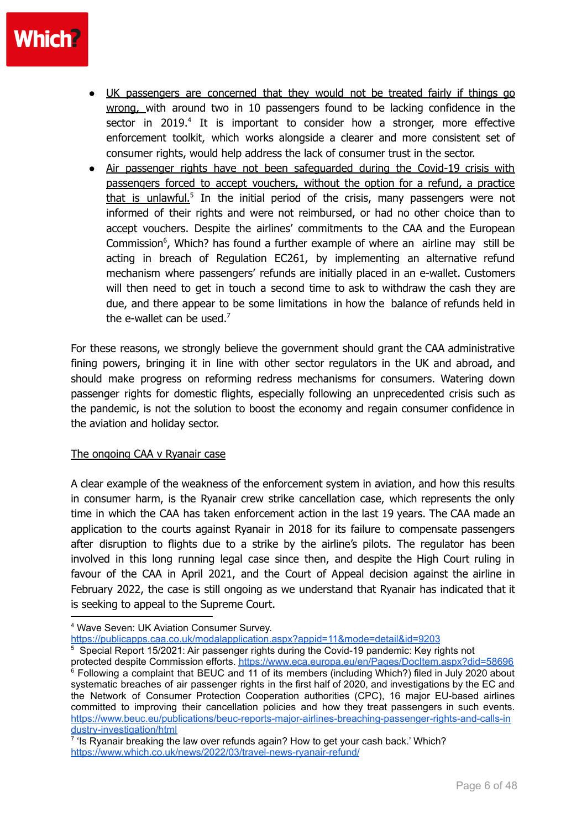- UK passengers are concerned that they would not be treated fairly if things go wrong, with around two in 10 passengers found to be lacking confidence in the sector in 2019.<sup>4</sup> It is important to consider how a stronger, more effective enforcement toolkit, which works alongside a clearer and more consistent set of consumer rights, would help address the lack of consumer trust in the sector.
- Air passenger rights have not been safeguarded during the Covid-19 crisis with passengers forced to accept vouchers, without the option for a refund, a practice that is unlawful.<sup>5</sup> In the initial period of the crisis, many passengers were not informed of their rights and were not reimbursed, or had no other choice than to accept vouchers. Despite the airlines' commitments to the CAA and the European Commission<sup>6</sup>, Which? has found a further example of where an airline may still be acting in breach of Regulation EC261, by implementing an alternative refund mechanism where passengers' refunds are initially placed in an e-wallet. Customers will then need to get in touch a second time to ask to withdraw the cash they are due, and there appear to be some limitations in how the balance of refunds held in the e-wallet can be used.<sup>7</sup>

For these reasons, we strongly believe the government should grant the CAA administrative fining powers, bringing it in line with other sector regulators in the UK and abroad, and should make progress on reforming redress mechanisms for consumers. Watering down passenger rights for domestic flights, especially following an unprecedented crisis such as the pandemic, is not the solution to boost the economy and regain consumer confidence in the aviation and holiday sector.

#### The ongoing CAA v Ryanair case

A clear example of the weakness of the enforcement system in aviation, and how this results in consumer harm, is the Ryanair crew strike cancellation case, which represents the only time in which the CAA has taken enforcement action in the last 19 years. The CAA made an application to the courts against Ryanair in 2018 for its failure to compensate passengers after disruption to flights due to a strike by the airline's pilots. The regulator has been involved in this long running legal case since then, and despite the High Court ruling in favour of the CAA in April 2021, and the Court of Appeal decision against the airline in February 2022, the case is still ongoing as we understand that Ryanair has indicated that it is seeking to appeal to the Supreme Court.

<https://publicapps.caa.co.uk/modalapplication.aspx?appid=11&mode=detail&id=9203>

<sup>5</sup> Special Report 15/2021: Air passenger rights during the Covid-19 pandemic: Key rights not

<sup>4</sup> Wave Seven: UK Aviation Consumer Survey.

 $6$  Following a complaint that BEUC and 11 of its members (including Which?) filed in July 2020 about systematic breaches of air passenger rights in the first half of 2020, and investigations by the EC and the Network of Consumer Protection Cooperation authorities (CPC), 16 major EU-based airlines committed to improving their cancellation policies and how they treat passengers in such events. [https://www.beuc.eu/publications/beuc-reports-major-airlines-breaching-passenger-rights-and-calls-in](https://www.beuc.eu/publications/beuc-reports-major-airlines-breaching-passenger-rights-and-calls-industry-investigation/html) [dustry-investigation/html](https://www.beuc.eu/publications/beuc-reports-major-airlines-breaching-passenger-rights-and-calls-industry-investigation/html) protected despite Commission efforts. <https://www.eca.europa.eu/en/Pages/DocItem.aspx?did=58696>

<sup>&</sup>lt;sup>7</sup> 'Is Ryanair breaking the law over refunds again? How to get your cash back.' Which? <https://www.which.co.uk/news/2022/03/travel-news-ryanair-refund/>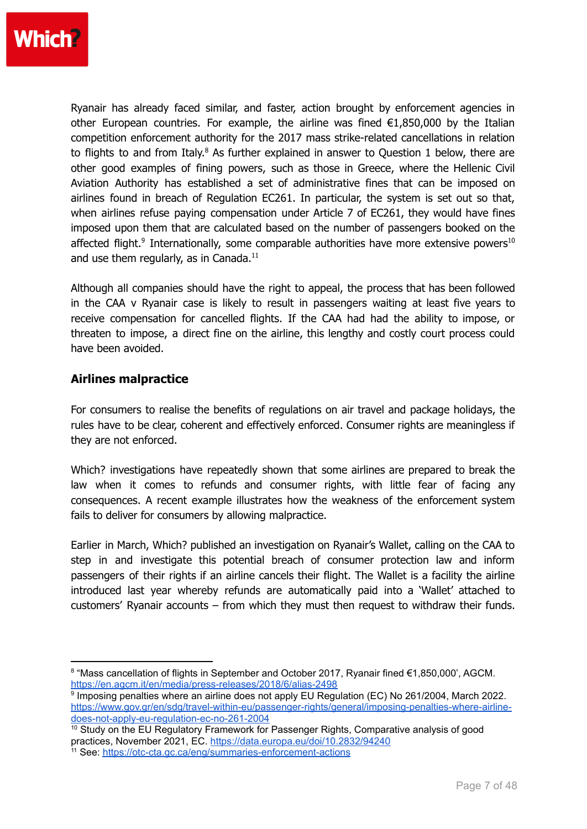

Ryanair has already faced similar, and faster, action brought by enforcement agencies in other European countries. For example, the airline was fined  $E1,850,000$  by the Italian competition enforcement authority for the 2017 mass strike-related cancellations in relation to flights to and from Italy. $8$  As further explained in answer to Question 1 below, there are other good examples of fining powers, such as those in Greece, where the Hellenic Civil Aviation Authority has established a set of administrative fines that can be imposed on airlines found in breach of Regulation EC261. In particular, the system is set out so that, when airlines refuse paying compensation under Article 7 of EC261, they would have fines imposed upon them that are calculated based on the number of passengers booked on the affected flight.<sup>9</sup> Internationally, some comparable authorities have more extensive powers<sup>10</sup> and use them regularly, as in Canada.<sup>11</sup>

Although all companies should have the right to appeal, the process that has been followed in the CAA v Ryanair case is likely to result in passengers waiting at least five years to receive compensation for cancelled flights. If the CAA had had the ability to impose, or threaten to impose, a direct fine on the airline, this lengthy and costly court process could have been avoided.

#### **Airlines malpractice**

For consumers to realise the benefits of regulations on air travel and package holidays, the rules have to be clear, coherent and effectively enforced. Consumer rights are meaningless if they are not enforced.

Which? investigations have repeatedly shown that some airlines are prepared to break the law when it comes to refunds and consumer rights, with little fear of facing any consequences. A recent example illustrates how the weakness of the enforcement system fails to deliver for consumers by allowing malpractice.

Earlier in March, Which? published an investigation on Ryanair's Wallet, calling on the CAA to step in and investigate this potential breach of consumer protection law and inform passengers of their rights if an airline cancels their flight. The Wallet is a facility the airline introduced last year whereby refunds are automatically paid into a 'Wallet' attached to customers' Ryanair accounts – from which they must then request to withdraw their funds.

<sup>8</sup> "Mass cancellation of flights in September and October 2017, Ryanair fined €1,850,000', AGCM. <https://en.agcm.it/en/media/press-releases/2018/6/alias-2498>

<sup>&</sup>lt;sup>9</sup> Imposing penalties where an airline does not apply EU Regulation (EC) No 261/2004, March 2022. [https://www.gov.gr/en/sdg/travel-within-eu/passenger-rights/general/imposing-penalties-where-airline](https://www.gov.gr/en/sdg/travel-within-eu/passenger-rights/general/imposing-penalties-where-airline-does-not-apply-eu-regulation-ec-no-261-2004)[does-not-apply-eu-regulation-ec-no-261-2004](https://www.gov.gr/en/sdg/travel-within-eu/passenger-rights/general/imposing-penalties-where-airline-does-not-apply-eu-regulation-ec-no-261-2004)

<sup>&</sup>lt;sup>10</sup> Study on the EU Regulatory Framework for Passenger Rights, Comparative analysis of good practices, November 2021, EC. <https://data.europa.eu/doi/10.2832/94240>

<sup>&</sup>lt;sup>11</sup> See: <https://otc-cta.gc.ca/eng/summaries-enforcement-actions>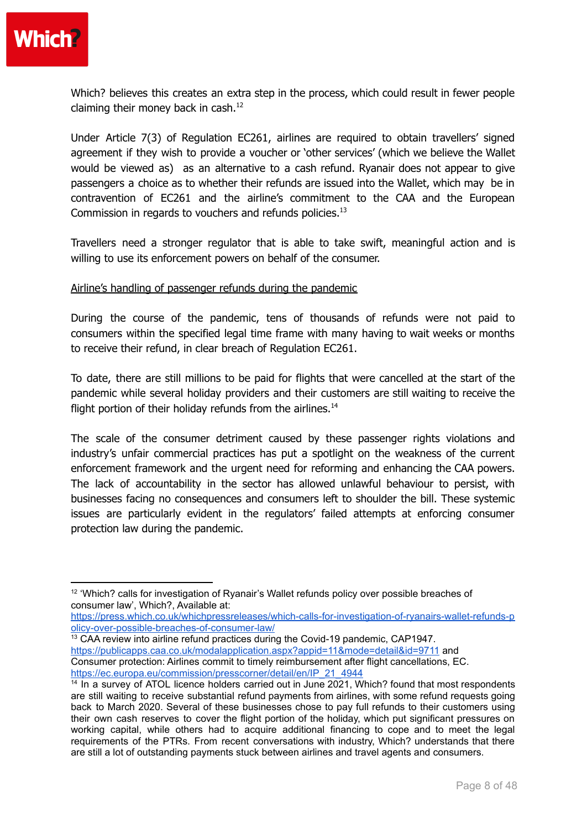

Which? believes this creates an extra step in the process, which could result in fewer people claiming their money back in cash. $^{12}$ 

Under Article 7(3) of Regulation EC261, airlines are required to obtain travellers' signed agreement if they wish to provide a voucher or 'other services' (which we believe the Wallet would be viewed as) as an alternative to a cash refund. Ryanair does not appear to give passengers a choice as to whether their refunds are issued into the Wallet, which may be in contravention of EC261 and the airline's commitment to the CAA and the European Commission in regards to vouchers and refunds policies.<sup>13</sup>

Travellers need a stronger regulator that is able to take swift, meaningful action and is willing to use its enforcement powers on behalf of the consumer.

#### Airline's handling of passenger refunds during the pandemic

During the course of the pandemic, tens of thousands of refunds were not paid to consumers within the specified legal time frame with many having to wait weeks or months to receive their refund, in clear breach of Regulation EC261.

To date, there are still millions to be paid for flights that were cancelled at the start of the pandemic while several holiday providers and their customers are still waiting to receive the flight portion of their holiday refunds from the airlines.<sup>14</sup>

The scale of the consumer detriment caused by these passenger rights violations and industry's unfair commercial practices has put a spotlight on the weakness of the current enforcement framework and the urgent need for reforming and enhancing the CAA powers. The lack of accountability in the sector has allowed unlawful behaviour to persist, with businesses facing no consequences and consumers left to shoulder the bill. These systemic issues are particularly evident in the regulators' failed attempts at enforcing consumer protection law during the pandemic.

 $13$  CAA review into airline refund practices during the Covid-19 pandemic, CAP1947. <https://publicapps.caa.co.uk/modalapplication.aspx?appid=11&mode=detail&id=9711> and Consumer protection: Airlines commit to timely reimbursement after flight cancellations, EC. [https://ec.europa.eu/commission/presscorner/detail/en/IP\\_21\\_4944](https://ec.europa.eu/commission/presscorner/detail/en/IP_21_4944)

<sup>&</sup>lt;sup>12</sup> 'Which? calls for investigation of Ryanair's Wallet refunds policy over possible breaches of consumer law', Which?, Available at:

[https://press.which.co.uk/whichpressreleases/which-calls-for-investigation-of-ryanairs-wallet-refunds-p](https://press.which.co.uk/whichpressreleases/which-calls-for-investigation-of-ryanairs-wallet-refunds-policy-over-possible-breaches-of-consumer-law/) [olicy-over-possible-breaches-of-consumer-law/](https://press.which.co.uk/whichpressreleases/which-calls-for-investigation-of-ryanairs-wallet-refunds-policy-over-possible-breaches-of-consumer-law/)

 $14$  In a survey of ATOL licence holders carried out in June 2021, Which? found that most respondents are still waiting to receive substantial refund payments from airlines, with some refund requests going back to March 2020. Several of these businesses chose to pay full refunds to their customers using their own cash reserves to cover the flight portion of the holiday, which put significant pressures on working capital, while others had to acquire additional financing to cope and to meet the legal requirements of the PTRs. From recent conversations with industry, Which? understands that there are still a lot of outstanding payments stuck between airlines and travel agents and consumers.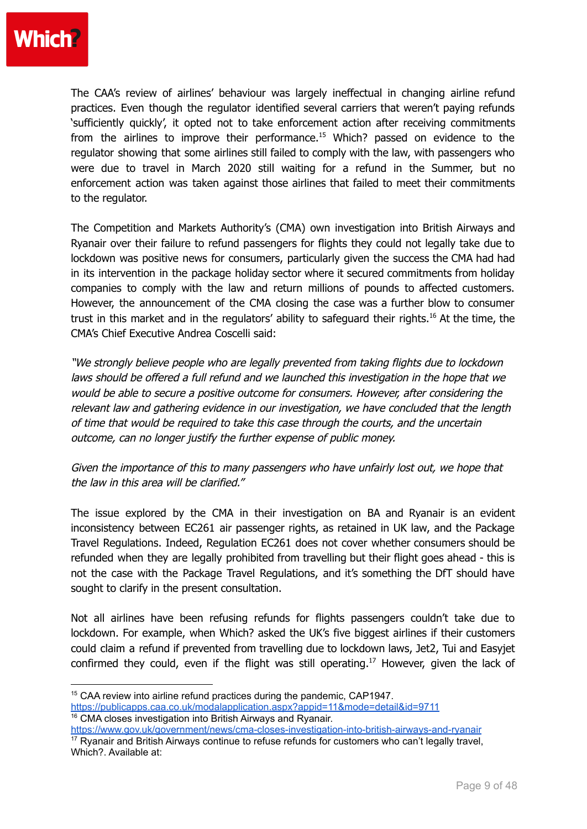

The CAA's review of airlines' behaviour was largely ineffectual in changing airline refund practices. Even though the regulator identified several carriers that weren't paying refunds 'sufficiently quickly', it opted not to take enforcement action after receiving commitments from the airlines to improve their performance. <sup>15</sup> Which? passed on evidence to the regulator showing that some airlines still failed to comply with the law, with passengers who were due to travel in March 2020 still waiting for a refund in the Summer, but no enforcement action was taken against those airlines that failed to meet their commitments to the regulator.

The Competition and Markets Authority's (CMA) own investigation into British Airways and Ryanair over their failure to refund passengers for flights they could not legally take due to lockdown was positive news for consumers, particularly given the success the CMA had had in its intervention in the package holiday sector where it secured commitments from holiday companies to comply with the law and return millions of pounds to affected customers. However, the announcement of the CMA closing the case was a further blow to consumer trust in this market and in the regulators' ability to safeguard their rights. <sup>16</sup> At the time, the CMA's Chief Executive Andrea Coscelli said:

"We strongly believe people who are legally prevented from taking flights due to lockdown laws should be offered <sup>a</sup> full refund and we launched this investigation in the hope that we would be able to secure <sup>a</sup> positive outcome for consumers. However, after considering the relevant law and gathering evidence in our investigation, we have concluded that the length of time that would be required to take this case through the courts, and the uncertain outcome, can no longer justify the further expense of public money.

Given the importance of this to many passengers who have unfairly lost out, we hope that the law in this area will be clarified."

The issue explored by the CMA in their investigation on BA and Ryanair is an evident inconsistency between EC261 air passenger rights, as retained in UK law, and the Package Travel Regulations. Indeed, Regulation EC261 does not cover whether consumers should be refunded when they are legally prohibited from travelling but their flight goes ahead - this is not the case with the Package Travel Regulations, and it's something the DfT should have sought to clarify in the present consultation.

Not all airlines have been refusing refunds for flights passengers couldn't take due to lockdown. For example, when Which? asked the UK's five biggest airlines if their customers could claim a refund if prevented from travelling due to lockdown laws, Jet2, Tui and Easyjet confirmed they could, even if the flight was still operating. <sup>17</sup> However, given the lack of

<sup>16</sup> CMA closes investigation into British Airways and Ryanair. <https://www.gov.uk/government/news/cma-closes-investigation-into-british-airways-and-ryanair>

<sup>&</sup>lt;sup>15</sup> CAA review into airline refund practices during the pandemic, CAP1947. <https://publicapps.caa.co.uk/modalapplication.aspx?appid=11&mode=detail&id=9711>

<sup>&</sup>lt;sup>17</sup> Ryanair and British Airways continue to refuse refunds for customers who can't legally travel, Which?. Available at: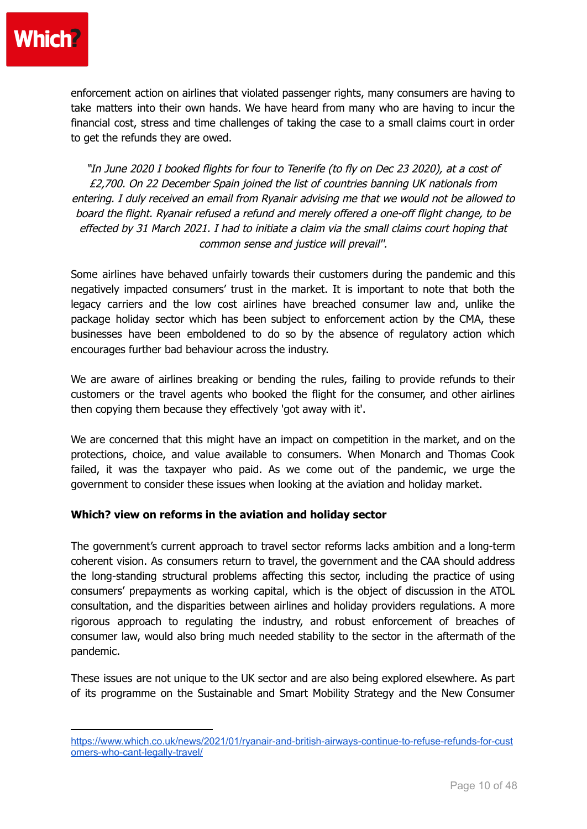

enforcement action on airlines that violated passenger rights, many consumers are having to take matters into their own hands. We have heard from many who are having to incur the financial cost, stress and time challenges of taking the case to a small claims court in order to get the refunds they are owed.

"In June 2020 I booked flights for four to Tenerife (to fly on Dec 23 2020), at <sup>a</sup> cost of £2,700. On 22 December Spain joined the list of countries banning UK nationals from entering. I duly received an email from Ryanair advising me that we would not be allowed to board the flight. Ryanair refused <sup>a</sup> refund and merely offered <sup>a</sup> one-off flight change, to be effected by 31 March 2021. I had to initiate <sup>a</sup> claim via the small claims court hoping that common sense and justice will prevail''.

Some airlines have behaved unfairly towards their customers during the pandemic and this negatively impacted consumers' trust in the market. It is important to note that both the legacy carriers and the low cost airlines have breached consumer law and, unlike the package holiday sector which has been subject to enforcement action by the CMA, these businesses have been emboldened to do so by the absence of regulatory action which encourages further bad behaviour across the industry.

We are aware of airlines breaking or bending the rules, failing to provide refunds to their customers or the travel agents who booked the flight for the consumer, and other airlines then copying them because they effectively 'got away with it'.

We are concerned that this might have an impact on competition in the market, and on the protections, choice, and value available to consumers. When Monarch and Thomas Cook failed, it was the taxpayer who paid. As we come out of the pandemic, we urge the government to consider these issues when looking at the aviation and holiday market.

#### **Which? view on reforms in the aviation and holiday sector**

The government's current approach to travel sector reforms lacks ambition and a long-term coherent vision. As consumers return to travel, the government and the CAA should address the long-standing structural problems affecting this sector, including the practice of using consumers' prepayments as working capital, which is the object of discussion in the ATOL consultation, and the disparities between airlines and holiday providers regulations. A more rigorous approach to regulating the industry, and robust enforcement of breaches of consumer law, would also bring much needed stability to the sector in the aftermath of the pandemic.

These issues are not unique to the UK sector and are also being explored elsewhere. As part of its programme on the Sustainable and Smart Mobility Strategy and the New Consumer

[https://www.which.co.uk/news/2021/01/ryanair-and-british-airways-continue-to-refuse-refunds-for-cust](https://www.which.co.uk/news/2021/01/ryanair-and-british-airways-continue-to-refuse-refunds-for-customers-who-cant-legally-travel/) [omers-who-cant-legally-travel/](https://www.which.co.uk/news/2021/01/ryanair-and-british-airways-continue-to-refuse-refunds-for-customers-who-cant-legally-travel/)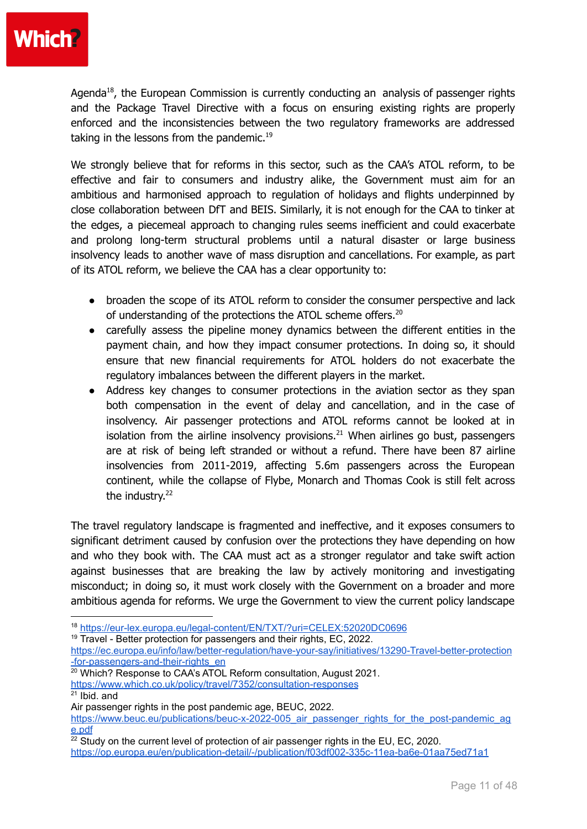

Agenda<sup>18</sup>, the European Commission is currently conducting an analysis of passenger rights and the Package Travel Directive with a focus on ensuring existing rights are properly enforced and the inconsistencies between the two regulatory frameworks are addressed taking in the lessons from the pandemic.<sup>19</sup>

We strongly believe that for reforms in this sector, such as the CAA's ATOL reform, to be effective and fair to consumers and industry alike, the Government must aim for an ambitious and harmonised approach to regulation of holidays and flights underpinned by close collaboration between DfT and BEIS. Similarly, it is not enough for the CAA to tinker at the edges, a piecemeal approach to changing rules seems inefficient and could exacerbate and prolong long-term structural problems until a natural disaster or large business insolvency leads to another wave of mass disruption and cancellations. For example, as part of its ATOL reform, we believe the CAA has a clear opportunity to:

- broaden the scope of its ATOL reform to consider the consumer perspective and lack of understanding of the protections the ATOL scheme offers. $^{20}$
- carefully assess the pipeline money dynamics between the different entities in the payment chain, and how they impact consumer protections. In doing so, it should ensure that new financial requirements for ATOL holders do not exacerbate the regulatory imbalances between the different players in the market.
- Address key changes to consumer protections in the aviation sector as they span both compensation in the event of delay and cancellation, and in the case of insolvency. Air passenger protections and ATOL reforms cannot be looked at in isolation from the airline insolvency provisions. $^{21}$  When airlines go bust, passengers are at risk of being left stranded or without a refund. There have been 87 airline insolvencies from 2011-2019, affecting 5.6m passengers across the European continent, while the collapse of Flybe, Monarch and Thomas Cook is still felt across the industry.<sup>22</sup>

The travel regulatory landscape is fragmented and ineffective, and it exposes consumers to significant detriment caused by confusion over the protections they have depending on how and who they book with. The CAA must act as a stronger regulator and take swift action against businesses that are breaking the law by actively monitoring and investigating misconduct; in doing so, it must work closely with the Government on a broader and more ambitious agenda for reforms. We urge the Government to view the current policy landscape

<sup>19</sup> Travel - Better protection for passengers and their rights, EC, 2022.

 $21$  Ibid. and

<sup>18</sup> <https://eur-lex.europa.eu/legal-content/EN/TXT/?uri=CELEX:52020DC0696>

[https://ec.europa.eu/info/law/better-regulation/have-your-say/initiatives/13290-Travel-better-protection](https://ec.europa.eu/info/law/better-regulation/have-your-say/initiatives/13290-Travel-better-protection-for-passengers-and-their-rights_en) [-for-passengers-and-their-rights\\_en](https://ec.europa.eu/info/law/better-regulation/have-your-say/initiatives/13290-Travel-better-protection-for-passengers-and-their-rights_en)

 $20$  Which? Response to CAA's ATOL Reform consultation, August 2021. <https://www.which.co.uk/policy/travel/7352/consultation-responses>

Air passenger rights in the post pandemic age, BEUC, 2022.

https://www.beuc.eu/publications/beuc-x-2022-005 air passenger rights for the post-pandemic ag [e.pdf](https://www.beuc.eu/publications/beuc-x-2022-005_air_passenger_rights_for_the_post-pandemic_age.pdf)

 $22$  Study on the current level of protection of air passenger rights in the EU, EC, 2020. <https://op.europa.eu/en/publication-detail/-/publication/f03df002-335c-11ea-ba6e-01aa75ed71a1>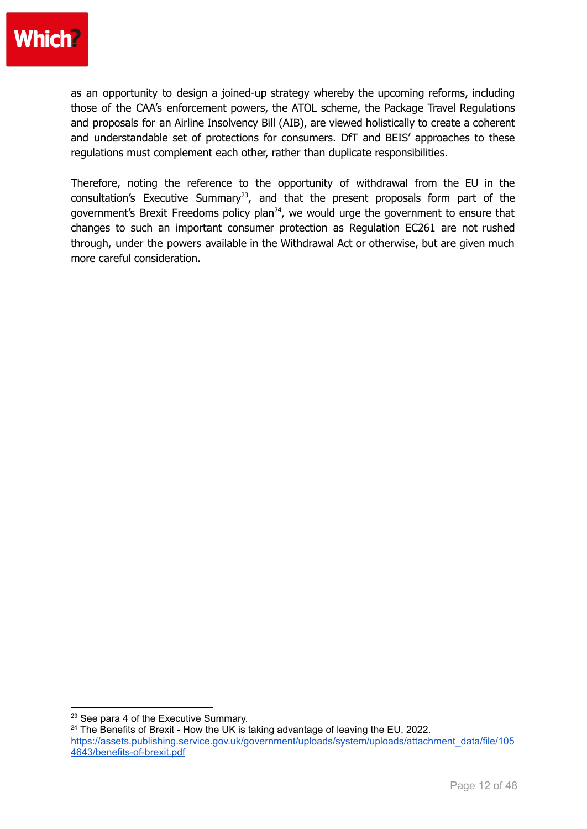## **Which?**

as an opportunity to design a joined-up strategy whereby the upcoming reforms, including those of the CAA's enforcement powers, the ATOL scheme, the Package Travel Regulations and proposals for an Airline Insolvency Bill (AIB), are viewed holistically to create a coherent and understandable set of protections for consumers. DfT and BEIS' approaches to these regulations must complement each other, rather than duplicate responsibilities.

Therefore, noting the reference to the opportunity of withdrawal from the EU in the consultation's Executive Summary<sup>23</sup>, and that the present proposals form part of the government's Brexit Freedoms policy plan<sup>24</sup>, we would urge the government to ensure that changes to such an important consumer protection as Regulation EC261 are not rushed through, under the powers available in the Withdrawal Act or otherwise, but are given much more careful consideration.

<sup>&</sup>lt;sup>23</sup> See para 4 of the Executive Summary.

 $24$  The Benefits of Brexit - How the UK is taking advantage of leaving the EU, 2022. [https://assets.publishing.service.gov.uk/government/uploads/system/uploads/attachment\\_data/file/105](https://assets.publishing.service.gov.uk/government/uploads/system/uploads/attachment_data/file/1054643/benefits-of-brexit.pdf) [4643/benefits-of-brexit.pdf](https://assets.publishing.service.gov.uk/government/uploads/system/uploads/attachment_data/file/1054643/benefits-of-brexit.pdf)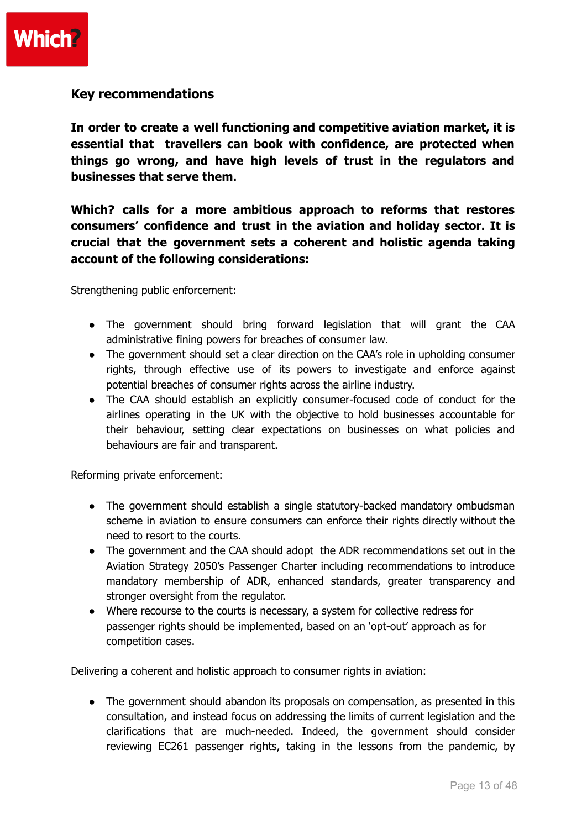

#### **Key recommendations**

**In order to create a well functioning and competitive aviation market, it is essential that travellers can book with confidence, are protected when things go wrong, and have high levels of trust in the regulators and businesses that serve them.**

**Which? calls for a more ambitious approach to reforms that restores consumers' confidence and trust in the aviation and holiday sector. It is crucial that the government sets a coherent and holistic agenda taking account of the following considerations:**

Strengthening public enforcement:

- The government should bring forward legislation that will grant the CAA administrative fining powers for breaches of consumer law.
- The government should set a clear direction on the CAA's role in upholding consumer rights, through effective use of its powers to investigate and enforce against potential breaches of consumer rights across the airline industry.
- The CAA should establish an explicitly consumer-focused code of conduct for the airlines operating in the UK with the objective to hold businesses accountable for their behaviour, setting clear expectations on businesses on what policies and behaviours are fair and transparent.

Reforming private enforcement:

- The government should establish a single statutory-backed mandatory ombudsman scheme in aviation to ensure consumers can enforce their rights directly without the need to resort to the courts.
- The government and the CAA should adopt the ADR recommendations set out in the Aviation Strategy 2050's Passenger Charter including recommendations to introduce mandatory membership of ADR, enhanced standards, greater transparency and stronger oversight from the regulator.
- Where recourse to the courts is necessary, a system for collective redress for passenger rights should be implemented, based on an 'opt-out' approach as for competition cases.

Delivering a coherent and holistic approach to consumer rights in aviation:

● The government should abandon its proposals on compensation, as presented in this consultation, and instead focus on addressing the limits of current legislation and the clarifications that are much-needed. Indeed, the government should consider reviewing EC261 passenger rights, taking in the lessons from the pandemic, by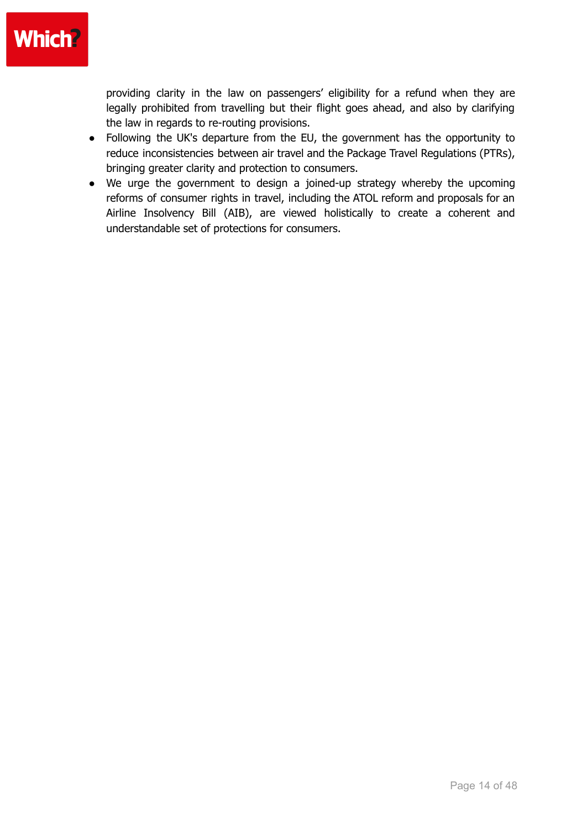

providing clarity in the law on passengers' eligibility for a refund when they are legally prohibited from travelling but their flight goes ahead, and also by clarifying the law in regards to re-routing provisions.

- Following the UK's departure from the EU, the government has the opportunity to reduce inconsistencies between air travel and the Package Travel Regulations (PTRs), bringing greater clarity and protection to consumers.
- We urge the government to design a joined-up strategy whereby the upcoming reforms of consumer rights in travel, including the ATOL reform and proposals for an Airline Insolvency Bill (AIB), are viewed holistically to create a coherent and understandable set of protections for consumers.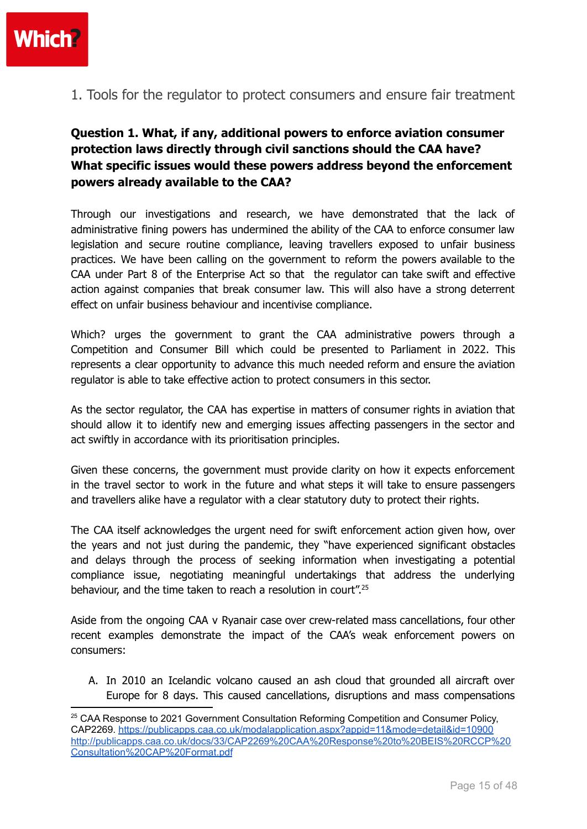

1. Tools for the regulator to protect consumers and ensure fair treatment

## **Question 1. What, if any, additional powers to enforce aviation consumer protection laws directly through civil sanctions should the CAA have? What specific issues would these powers address beyond the enforcement powers already available to the CAA?**

Through our investigations and research, we have demonstrated that the lack of administrative fining powers has undermined the ability of the CAA to enforce consumer law legislation and secure routine compliance, leaving travellers exposed to unfair business practices. We have been calling on the government to reform the powers available to the CAA under Part 8 of the Enterprise Act so that the regulator can take swift and effective action against companies that break consumer law. This will also have a strong deterrent effect on unfair business behaviour and incentivise compliance.

Which? urges the government to grant the CAA administrative powers through a Competition and Consumer Bill which could be presented to Parliament in 2022. This represents a clear opportunity to advance this much needed reform and ensure the aviation regulator is able to take effective action to protect consumers in this sector.

As the sector regulator, the CAA has expertise in matters of consumer rights in aviation that should allow it to identify new and emerging issues affecting passengers in the sector and act swiftly in accordance with its prioritisation principles.

Given these concerns, the government must provide clarity on how it expects enforcement in the travel sector to work in the future and what steps it will take to ensure passengers and travellers alike have a regulator with a clear statutory duty to protect their rights.

The CAA itself acknowledges the urgent need for swift enforcement action given how, over the years and not just during the pandemic, they "have experienced significant obstacles and delays through the process of seeking information when investigating a potential compliance issue, negotiating meaningful undertakings that address the underlying behaviour, and the time taken to reach a resolution in court".<sup>25</sup>

Aside from the ongoing CAA v Ryanair case over crew-related mass cancellations, four other recent examples demonstrate the impact of the CAA's weak enforcement powers on consumers:

A. In 2010 an Icelandic volcano caused an ash cloud that grounded all aircraft over Europe for 8 days. This caused cancellations, disruptions and mass compensations

<sup>&</sup>lt;sup>25</sup> CAA Response to 2021 Government Consultation Reforming Competition and Consumer Policy, CAP2269. <https://publicapps.caa.co.uk/modalapplication.aspx?appid=11&mode=detail&id=10900> [http://publicapps.caa.co.uk/docs/33/CAP2269%20CAA%20Response%20to%20BEIS%20RCCP%20](http://publicapps.caa.co.uk/docs/33/CAP2269%20CAA%20Response%20to%20BEIS%20RCCP%20Consultation%20CAP%20Format.pdf) [Consultation%20CAP%20Format.pdf](http://publicapps.caa.co.uk/docs/33/CAP2269%20CAA%20Response%20to%20BEIS%20RCCP%20Consultation%20CAP%20Format.pdf)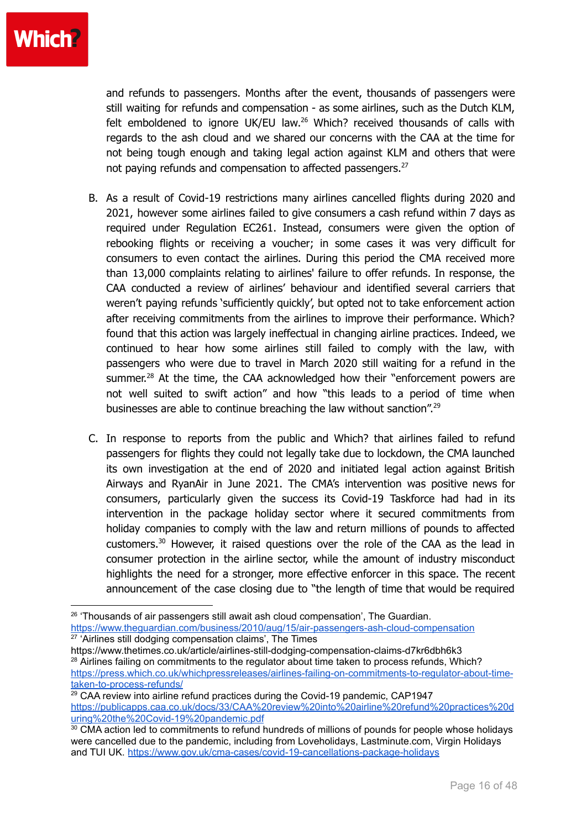

and refunds to passengers. Months after the event, thousands of passengers were still waiting for refunds and compensation - as some airlines, such as the Dutch KLM, felt emboldened to ignore UK/EU law. $^{26}$  Which? received thousands of calls with regards to the ash cloud and we shared our concerns with the CAA at the time for not being tough enough and taking legal action against KLM and others that were not paying refunds and compensation to affected passengers. $^{27}$ 

- B. As a result of Covid-19 restrictions many airlines cancelled flights during 2020 and 2021, however some airlines failed to give consumers a cash refund within 7 days as required under Regulation EC261. Instead, consumers were given the option of rebooking flights or receiving a voucher; in some cases it was very difficult for consumers to even contact the airlines. During this period the CMA received more than 13,000 complaints relating to airlines' failure to offer refunds. In response, the CAA conducted a review of airlines' behaviour and identified several carriers that weren't paying refunds 'sufficiently quickly', but opted not to take enforcement action after receiving commitments from the airlines to improve their performance. Which? found that this action was largely ineffectual in changing airline practices. Indeed, we continued to hear how some airlines still failed to comply with the law, with passengers who were due to travel in March 2020 still waiting for a refund in the summer.<sup>28</sup> At the time, the CAA acknowledged how their "enforcement powers are not well suited to swift action" and how "this leads to a period of time when businesses are able to continue breaching the law without sanction".<sup>29</sup>
- C. In response to reports from the public and Which? that airlines failed to refund passengers for flights they could not legally take due to lockdown, the CMA launched its own investigation at the end of 2020 and initiated legal action against British Airways and RyanAir in June 2021. The CMA's intervention was positive news for consumers, particularly given the success its Covid-19 Taskforce had had in its intervention in the package holiday sector where it secured commitments from holiday companies to comply with the law and return millions of pounds to affected customers.<sup>30</sup> However, it raised questions over the role of the CAA as the lead in consumer protection in the airline sector, while the amount of industry misconduct highlights the need for a stronger, more effective enforcer in this space. The recent announcement of the case closing due to "the length of time that would be required

<sup>&</sup>lt;sup>27</sup> 'Airlines still dodging compensation claims', The Times <sup>26</sup> 'Thousands of air passengers still await ash cloud compensation', The Guardian. <https://www.theguardian.com/business/2010/aug/15/air-passengers-ash-cloud-compensation>

<sup>&</sup>lt;sup>28</sup> Airlines failing on commitments to the regulator about time taken to process refunds, Which? [https://press.which.co.uk/whichpressreleases/airlines-failing-on-commitments-to-regulator-about-time](https://press.which.co.uk/whichpressreleases/airlines-failing-on-commitments-to-regulator-about-time-taken-to-process-refunds/)[taken-to-process-refunds/](https://press.which.co.uk/whichpressreleases/airlines-failing-on-commitments-to-regulator-about-time-taken-to-process-refunds/) https://www.thetimes.co.uk/article/airlines-still-dodging-compensation-claims-d7kr6dbh6k3

 $29$  CAA review into airline refund practices during the Covid-19 pandemic, CAP1947 [https://publicapps.caa.co.uk/docs/33/CAA%20review%20into%20airline%20refund%20practices%20d](https://publicapps.caa.co.uk/docs/33/CAA%20review%20into%20airline%20refund%20practices%20during%20the%20Covid-19%20pandemic.pdf) [uring%20the%20Covid-19%20pandemic.pdf](https://publicapps.caa.co.uk/docs/33/CAA%20review%20into%20airline%20refund%20practices%20during%20the%20Covid-19%20pandemic.pdf)

<sup>&</sup>lt;sup>30</sup> CMA action led to commitments to refund hundreds of millions of pounds for people whose holidays were cancelled due to the pandemic, including from Loveholidays, Lastminute.com, Virgin Holidays and TUI UK. <https://www.gov.uk/cma-cases/covid-19-cancellations-package-holidays>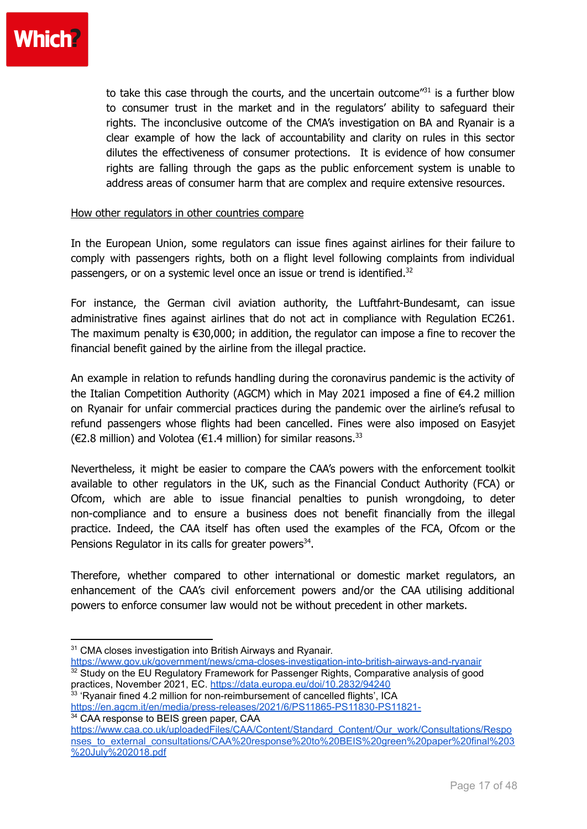

to take this case through the courts, and the uncertain outcome<sup>"31</sup> is a further blow to consumer trust in the market and in the regulators' ability to safeguard their rights. The inconclusive outcome of the CMA's investigation on BA and Ryanair is a clear example of how the lack of accountability and clarity on rules in this sector dilutes the effectiveness of consumer protections. It is evidence of how consumer rights are falling through the gaps as the public enforcement system is unable to address areas of consumer harm that are complex and require extensive resources.

#### How other regulators in other countries compare

In the European Union, some regulators can issue fines against airlines for their failure to comply with passengers rights, both on a flight level following complaints from individual passengers, or on a systemic level once an issue or trend is identified. $32$ 

For instance, the German civil aviation authority, the Luftfahrt-Bundesamt, can issue administrative fines against airlines that do not act in compliance with Regulation EC261. The maximum penalty is  $\epsilon$ 30,000; in addition, the regulator can impose a fine to recover the financial benefit gained by the airline from the illegal practice.

An example in relation to refunds handling during the coronavirus pandemic is the activity of the Italian Competition Authority (AGCM) which in May 2021 imposed a fine of €4.2 million on Ryanair for unfair commercial practices during the pandemic over the airline's refusal to refund passengers whose flights had been cancelled. Fines were also imposed on Easyjet (€2.8 million) and Volotea (€1.4 million) for similar reasons.<sup>33</sup>

Nevertheless, it might be easier to compare the CAA's powers with the enforcement toolkit available to other regulators in the UK, such as the Financial Conduct Authority (FCA) or Ofcom, which are able to issue financial penalties to punish wrongdoing, to deter non-compliance and to ensure a business does not benefit financially from the illegal practice. Indeed, the CAA itself has often used the examples of the FCA, Ofcom or the Pensions Regulator in its calls for greater powers<sup>34</sup>.

Therefore, whether compared to other international or domestic market regulators, an enhancement of the CAA's civil enforcement powers and/or the CAA utilising additional powers to enforce consumer law would not be without precedent in other markets.

- $32$  Study on the EU Regulatory Framework for Passenger Rights, Comparative analysis of good practices, November 2021, EC. <https://data.europa.eu/doi/10.2832/94240> <https://www.gov.uk/government/news/cma-closes-investigation-into-british-airways-and-ryanair>
- <sup>33</sup> 'Ryanair fined 4.2 million for non-reimbursement of cancelled flights', ICA <https://en.agcm.it/en/media/press-releases/2021/6/PS11865-PS11830-PS11821->

<sup>34</sup> CAA response to BEIS green paper, CAA

[https://www.caa.co.uk/uploadedFiles/CAA/Content/Standard\\_Content/Our\\_work/Consultations/Respo](https://www.caa.co.uk/uploadedFiles/CAA/Content/Standard_Content/Our_work/Consultations/Responses_to_external_consultations/CAA%20response%20to%20BEIS%20green%20paper%20final%203%20July%202018.pdf) [nses\\_to\\_external\\_consultations/CAA%20response%20to%20BEIS%20green%20paper%20final%203](https://www.caa.co.uk/uploadedFiles/CAA/Content/Standard_Content/Our_work/Consultations/Responses_to_external_consultations/CAA%20response%20to%20BEIS%20green%20paper%20final%203%20July%202018.pdf) [%20July%202018.pdf](https://www.caa.co.uk/uploadedFiles/CAA/Content/Standard_Content/Our_work/Consultations/Responses_to_external_consultations/CAA%20response%20to%20BEIS%20green%20paper%20final%203%20July%202018.pdf)

<sup>&</sup>lt;sup>31</sup> CMA closes investigation into British Airways and Ryanair.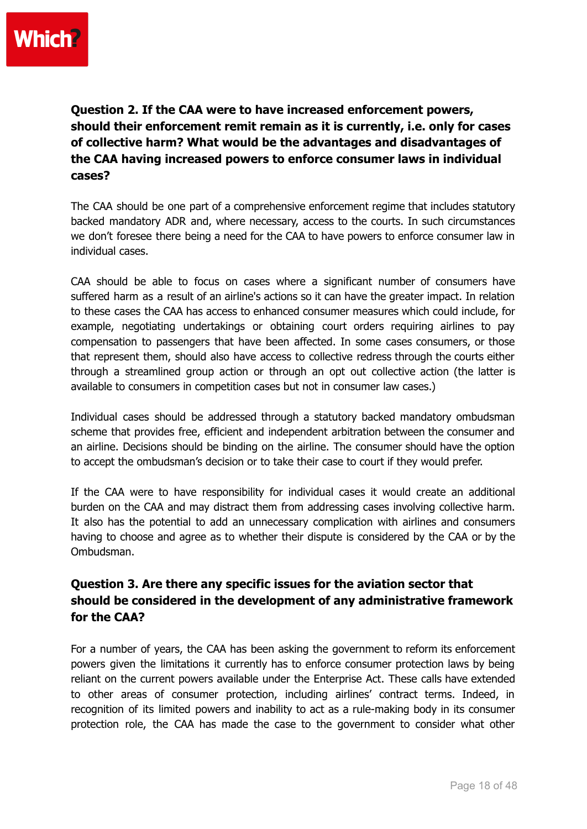

**Question 2. If the CAA were to have increased enforcement powers, should their enforcement remit remain as it is currently, i.e. only for cases of collective harm? What would be the advantages and disadvantages of the CAA having increased powers to enforce consumer laws in individual cases?**

The CAA should be one part of a comprehensive enforcement regime that includes statutory backed mandatory ADR and, where necessary, access to the courts. In such circumstances we don't foresee there being a need for the CAA to have powers to enforce consumer law in individual cases.

CAA should be able to focus on cases where a significant number of consumers have suffered harm as a result of an airline's actions so it can have the greater impact. In relation to these cases the CAA has access to enhanced consumer measures which could include, for example, negotiating undertakings or obtaining court orders requiring airlines to pay compensation to passengers that have been affected. In some cases consumers, or those that represent them, should also have access to collective redress through the courts either through a streamlined group action or through an opt out collective action (the latter is available to consumers in competition cases but not in consumer law cases.)

Individual cases should be addressed through a statutory backed mandatory ombudsman scheme that provides free, efficient and independent arbitration between the consumer and an airline. Decisions should be binding on the airline. The consumer should have the option to accept the ombudsman's decision or to take their case to court if they would prefer.

If the CAA were to have responsibility for individual cases it would create an additional burden on the CAA and may distract them from addressing cases involving collective harm. It also has the potential to add an unnecessary complication with airlines and consumers having to choose and agree as to whether their dispute is considered by the CAA or by the Ombudsman.

## **Question 3. Are there any specific issues for the aviation sector that should be considered in the development of any administrative framework for the CAA?**

For a number of years, the CAA has been asking the government to reform its enforcement powers given the limitations it currently has to enforce consumer protection laws by being reliant on the current powers available under the Enterprise Act. These calls have extended to other areas of consumer protection, including airlines' contract terms. Indeed, in recognition of its limited powers and inability to act as a rule-making body in its consumer protection role, the CAA has made the case to the government to consider what other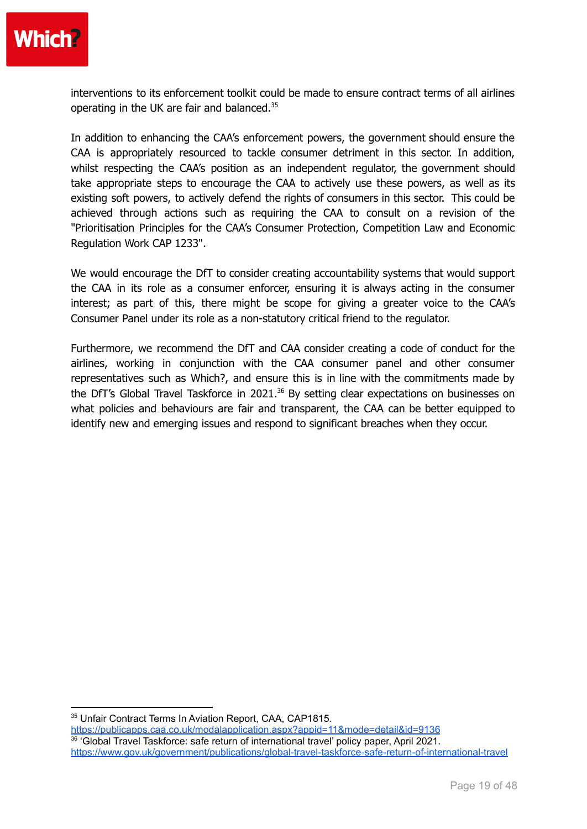

interventions to its enforcement toolkit could be made to ensure contract terms of all airlines operating in the UK are fair and balanced.<sup>35</sup>

In addition to enhancing the CAA's enforcement powers, the government should ensure the CAA is appropriately resourced to tackle consumer detriment in this sector. In addition, whilst respecting the CAA's position as an independent regulator, the government should take appropriate steps to encourage the CAA to actively use these powers, as well as its existing soft powers, to actively defend the rights of consumers in this sector. This could be achieved through actions such as requiring the CAA to consult on a revision of the "Prioritisation Principles for the CAA's Consumer Protection, Competition Law and Economic Regulation Work CAP 1233".

We would encourage the DfT to consider creating accountability systems that would support the CAA in its role as a consumer enforcer, ensuring it is always acting in the consumer interest; as part of this, there might be scope for giving a greater voice to the CAA's Consumer Panel under its role as a non-statutory critical friend to the regulator.

Furthermore, we recommend the DfT and CAA consider creating a code of conduct for the airlines, working in conjunction with the CAA consumer panel and other consumer representatives such as Which?, and ensure this is in line with the commitments made by the DfT's Global Travel Taskforce in 2021.<sup>36</sup> By setting clear expectations on businesses on what policies and behaviours are fair and transparent, the CAA can be better equipped to identify new and emerging issues and respond to significant breaches when they occur.

<sup>35</sup> Unfair Contract Terms In Aviation Report, CAA, CAP1815.

36 'Global Travel Taskforce: safe return of international travel' policy paper, April 2021. <https://www.gov.uk/government/publications/global-travel-taskforce-safe-return-of-international-travel> <https://publicapps.caa.co.uk/modalapplication.aspx?appid=11&mode=detail&id=9136>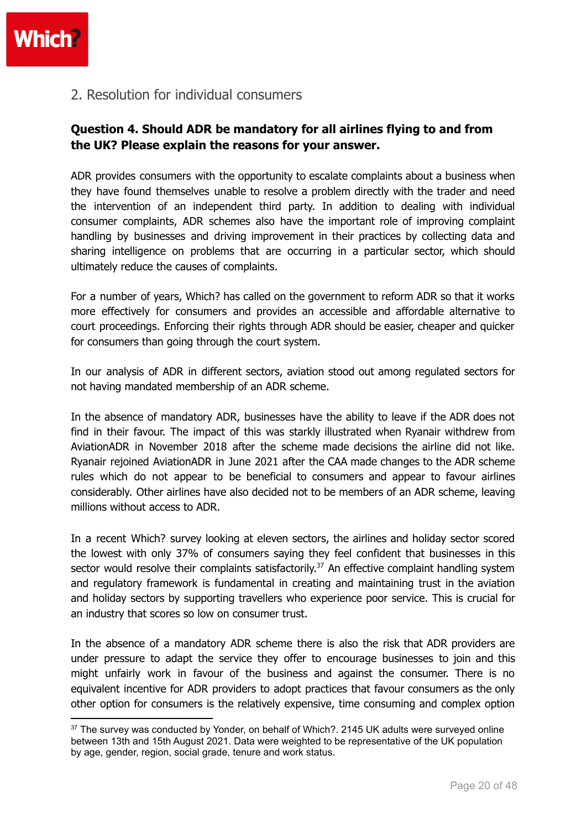

2. Resolution for individual consumers

## **Question 4. Should ADR be mandatory for all airlines flying to and from the UK? Please explain the reasons for your answer.**

ADR provides consumers with the opportunity to escalate complaints about a business when they have found themselves unable to resolve a problem directly with the trader and need the intervention of an independent third party. In addition to dealing with individual consumer complaints, ADR schemes also have the important role of improving complaint handling by businesses and driving improvement in their practices by collecting data and sharing intelligence on problems that are occurring in a particular sector, which should ultimately reduce the causes of complaints.

For a number of years, Which? has called on the government to reform ADR so that it works more effectively for consumers and provides an accessible and affordable alternative to court proceedings. Enforcing their rights through ADR should be easier, cheaper and quicker for consumers than going through the court system.

In our analysis of ADR in different sectors, aviation stood out among regulated sectors for not having mandated membership of an ADR scheme.

In the absence of mandatory ADR, businesses have the ability to leave if the ADR does not find in their favour. The impact of this was starkly illustrated when Ryanair withdrew from AviationADR in November 2018 after the scheme made decisions the airline did not like. Ryanair rejoined AviationADR in June 2021 after the CAA made changes to the ADR scheme rules which do not appear to be beneficial to consumers and appear to favour airlines considerably. Other airlines have also decided not to be members of an ADR scheme, leaving millions without access to ADR.

In a recent Which? survey looking at eleven sectors, the airlines and holiday sector scored the lowest with only 37% of consumers saying they feel confident that businesses in this sector would resolve their complaints satisfactorily.<sup>37</sup> An effective complaint handling system and regulatory framework is fundamental in creating and maintaining trust in the aviation and holiday sectors by supporting travellers who experience poor service. This is crucial for an industry that scores so low on consumer trust.

In the absence of a mandatory ADR scheme there is also the risk that ADR providers are under pressure to adapt the service they offer to encourage businesses to join and this might unfairly work in favour of the business and against the consumer. There is no equivalent incentive for ADR providers to adopt practices that favour consumers as the only other option for consumers is the relatively expensive, time consuming and complex option

<sup>&</sup>lt;sup>37</sup> The survey was conducted by Yonder, on behalf of Which?, 2145 UK adults were surveyed online between 13th and 15th August 2021. Data were weighted to be representative of the UK population by age, gender, region, social grade, tenure and work status.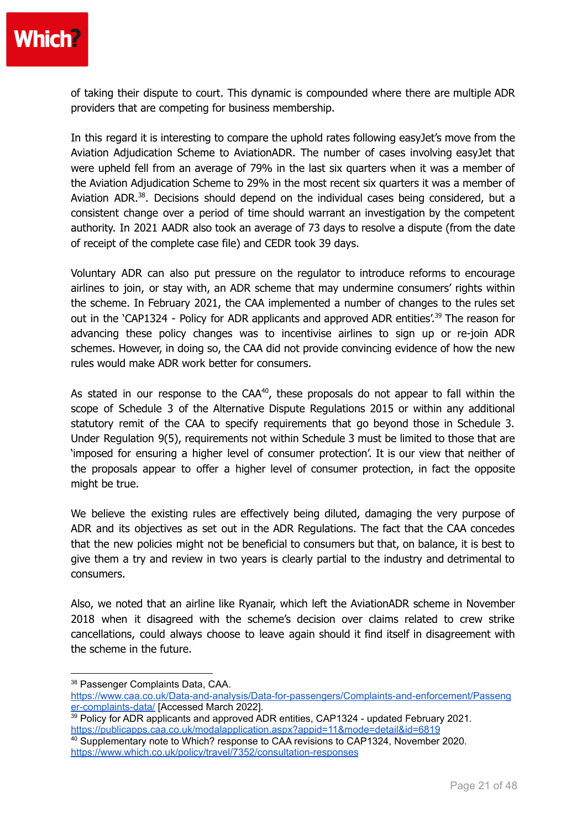

of taking their dispute to court. This dynamic is compounded where there are multiple ADR providers that are competing for business membership.

In this regard it is interesting to compare the uphold rates following easyJet's move from the Aviation Adjudication Scheme to AviationADR. The number of cases involving easyJet that were upheld fell from an average of 79% in the last six quarters when it was a member of the Aviation Adjudication Scheme to 29% in the most recent six quarters it was a member of Aviation ADR.<sup>38</sup>. Decisions should depend on the individual cases being considered, but a consistent change over a period of time should warrant an investigation by the competent authority. In 2021 AADR also took an average of 73 days to resolve a dispute (from the date of receipt of the complete case file) and CEDR took 39 days.

Voluntary ADR can also put pressure on the regulator to introduce reforms to encourage airlines to join, or stay with, an ADR scheme that may undermine consumers' rights within the scheme. In February 2021, the CAA implemented a number of changes to the rules set out in the 'CAP1324 - Policy for ADR applicants and approved ADR entities'.<sup>39</sup> The reason for advancing these policy changes was to incentivise airlines to sign up or re-join ADR schemes. However, in doing so, the CAA did not provide convincing evidence of how the new rules would make ADR work better for consumers.

As stated in our response to the  $CAA^{40}$ , these proposals do not appear to fall within the scope of Schedule 3 of the Alternative Dispute Regulations 2015 or within any additional statutory remit of the CAA to specify requirements that go beyond those in Schedule 3. Under Regulation 9(5), requirements not within Schedule 3 must be limited to those that are 'imposed for ensuring a higher level of consumer protection'. It is our view that neither of the proposals appear to offer a higher level of consumer protection, in fact the opposite might be true.

We believe the existing rules are effectively being diluted, damaging the very purpose of ADR and its objectives as set out in the ADR Regulations. The fact that the CAA concedes that the new policies might not be beneficial to consumers but that, on balance, it is best to give them a try and review in two years is clearly partial to the industry and detrimental to consumers.

Also, we noted that an airline like Ryanair, which left the AviationADR scheme in November 2018 when it disagreed with the scheme's decision over claims related to crew strike cancellations, could always choose to leave again should it find itself in disagreement with the scheme in the future.

<sup>38</sup> Passenger Complaints Data, CAA.

[https://www.caa.co.uk/Data-and-analysis/Data-for-passengers/Complaints-and-enforcement/Passeng](https://www.caa.co.uk/Data-and-analysis/Data-for-passengers/Complaints-and-enforcement/Passenger-complaints-data/) [er-complaints-data/](https://www.caa.co.uk/Data-and-analysis/Data-for-passengers/Complaints-and-enforcement/Passenger-complaints-data/) [Accessed March 2022].

<sup>&</sup>lt;sup>39</sup> Policy for ADR applicants and approved ADR entities, CAP1324 - updated February 2021. <https://publicapps.caa.co.uk/modalapplication.aspx?appid=11&mode=detail&id=6819>

<sup>40</sup> Supplementary note to Which? response to CAA revisions to CAP1324, November 2020. <https://www.which.co.uk/policy/travel/7352/consultation-responses>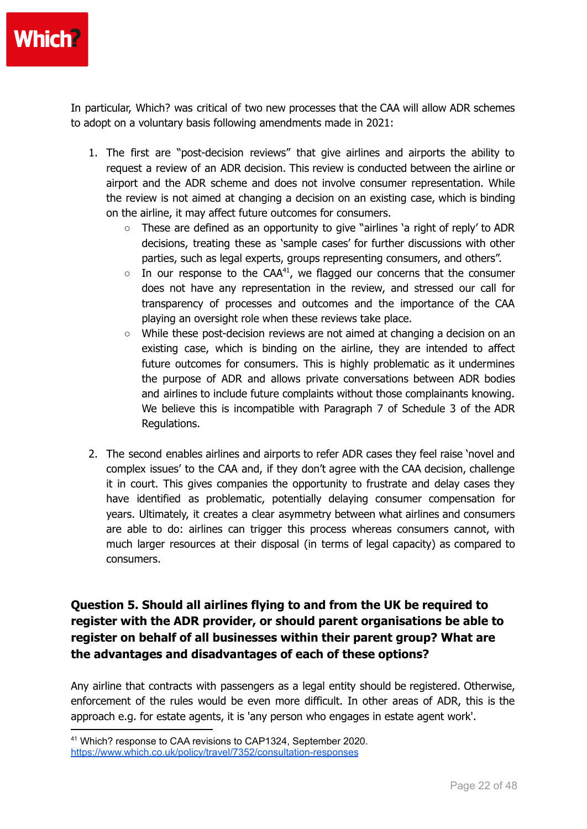

In particular, Which? was critical of two new processes that the CAA will allow ADR schemes to adopt on a voluntary basis following amendments made in 2021:

- 1. The first are "post-decision reviews" that give airlines and airports the ability to request a review of an ADR decision. This review is conducted between the airline or airport and the ADR scheme and does not involve consumer representation. While the review is not aimed at changing a decision on an existing case, which is binding on the airline, it may affect future outcomes for consumers.
	- These are defined as an opportunity to give "airlines 'a right of reply' to ADR decisions, treating these as 'sample cases' for further discussions with other parties, such as legal experts, groups representing consumers, and others".
	- $\circ$  In our response to the CAA<sup>41</sup>, we flagged our concerns that the consumer does not have any representation in the review, and stressed our call for transparency of processes and outcomes and the importance of the CAA playing an oversight role when these reviews take place.
	- While these post-decision reviews are not aimed at changing a decision on an existing case, which is binding on the airline, they are intended to affect future outcomes for consumers. This is highly problematic as it undermines the purpose of ADR and allows private conversations between ADR bodies and airlines to include future complaints without those complainants knowing. We believe this is incompatible with Paragraph 7 of Schedule 3 of the ADR Regulations.
- 2. The second enables airlines and airports to refer ADR cases they feel raise 'novel and complex issues' to the CAA and, if they don't agree with the CAA decision, challenge it in court. This gives companies the opportunity to frustrate and delay cases they have identified as problematic, potentially delaying consumer compensation for years. Ultimately, it creates a clear asymmetry between what airlines and consumers are able to do: airlines can trigger this process whereas consumers cannot, with much larger resources at their disposal (in terms of legal capacity) as compared to consumers.

## **Question 5. Should all airlines flying to and from the UK be required to register with the ADR provider, or should parent organisations be able to register on behalf of all businesses within their parent group? What are the advantages and disadvantages of each of these options?**

Any airline that contracts with passengers as a legal entity should be registered. Otherwise, enforcement of the rules would be even more difficult. In other areas of ADR, this is the approach e.g. for estate agents, it is 'any person who engages in estate agent work'.

<sup>41</sup> Which? response to CAA revisions to CAP1324, September 2020. <https://www.which.co.uk/policy/travel/7352/consultation-responses>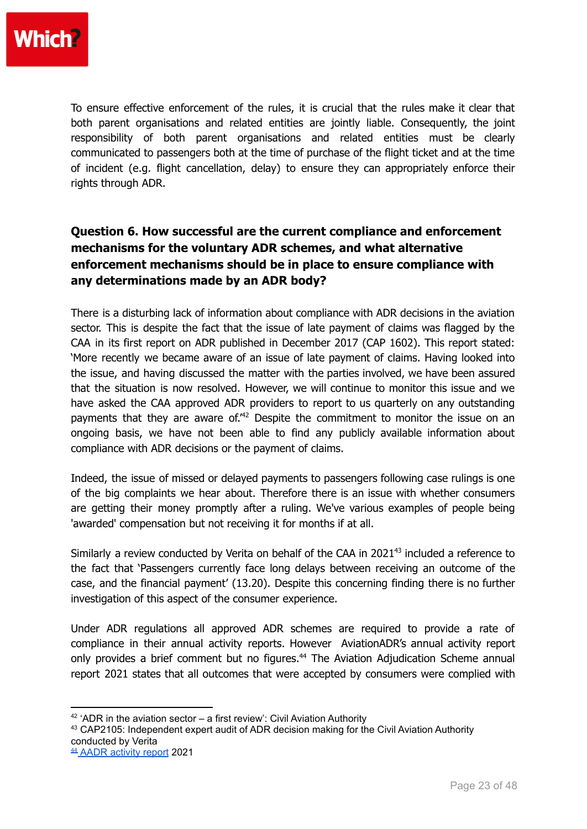To ensure effective enforcement of the rules, it is crucial that the rules make it clear that both parent organisations and related entities are jointly liable. Consequently, the joint responsibility of both parent organisations and related entities must be clearly communicated to passengers both at the time of purchase of the flight ticket and at the time of incident (e.g. flight cancellation, delay) to ensure they can appropriately enforce their rights through ADR.

## **Question 6. How successful are the current compliance and enforcement mechanisms for the voluntary ADR schemes, and what alternative enforcement mechanisms should be in place to ensure compliance with any determinations made by an ADR body?**

There is a disturbing lack of information about compliance with ADR decisions in the aviation sector. This is despite the fact that the issue of late payment of claims was flagged by the CAA in its first report on ADR published in December 2017 (CAP 1602). This report stated: 'More recently we became aware of an issue of late payment of claims. Having looked into the issue, and having discussed the matter with the parties involved, we have been assured that the situation is now resolved. However, we will continue to monitor this issue and we have asked the CAA approved ADR providers to report to us quarterly on any outstanding payments that they are aware of.<sup>"42</sup> Despite the commitment to monitor the issue on an ongoing basis, we have not been able to find any publicly available information about compliance with ADR decisions or the payment of claims.

Indeed, the issue of missed or delayed payments to passengers following case rulings is one of the big complaints we hear about. Therefore there is an issue with whether consumers are getting their money promptly after a ruling. We've various examples of people being 'awarded' compensation but not receiving it for months if at all.

Similarly a review conducted by Verita on behalf of the CAA in 2021<sup>43</sup> included a reference to the fact that 'Passengers currently face long delays between receiving an outcome of the case, and the financial payment' (13.20). Despite this concerning finding there is no further investigation of this aspect of the consumer experience.

Under ADR regulations all approved ADR schemes are required to provide a rate of compliance in their annual activity reports. However AviationADR's annual activity report only provides a brief comment but no figures.<sup>44</sup> The Aviation Adjudication Scheme annual report 2021 states that all outcomes that were accepted by consumers were complied with

 $42$  'ADR in the aviation sector – a first review': Civil Aviation Authority

<sup>&</sup>lt;sup>43</sup> CAP2105: Independent expert audit of ADR decision making for the Civil Aviation Authority conducted by Verita

<sup>44</sup> AADR [activity](https://www.cdrl.org.uk/wp-content/uploads/CAA-Annual-report-2021.pdf) report 2021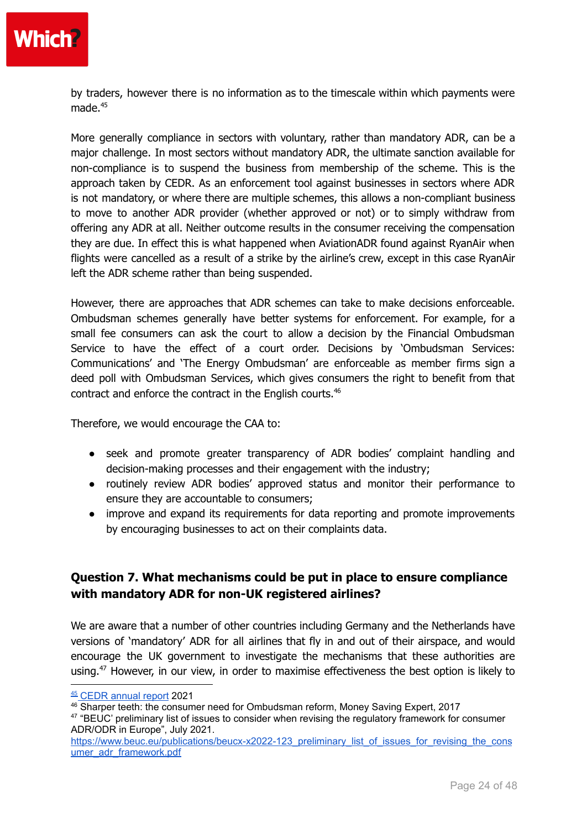

by traders, however there is no information as to the timescale within which payments were made. 45

More generally compliance in sectors with voluntary, rather than mandatory ADR, can be a major challenge. In most sectors without mandatory ADR, the ultimate sanction available for non-compliance is to suspend the business from membership of the scheme. This is the approach taken by CEDR. As an enforcement tool against businesses in sectors where ADR is not mandatory, or where there are multiple schemes, this allows a non-compliant business to move to another ADR provider (whether approved or not) or to simply withdraw from offering any ADR at all. Neither outcome results in the consumer receiving the compensation they are due. In effect this is what happened when AviationADR found against RyanAir when flights were cancelled as a result of a strike by the airline's crew, except in this case RyanAir left the ADR scheme rather than being suspended.

However, there are approaches that ADR schemes can take to make decisions enforceable. Ombudsman schemes generally have better systems for enforcement. For example, for a small fee consumers can ask the court to allow a decision by the Financial Ombudsman Service to have the effect of a court order. Decisions by 'Ombudsman Services: Communications' and 'The Energy Ombudsman' are enforceable as member firms sign a deed poll with Ombudsman Services, which gives consumers the right to benefit from that contract and enforce the contract in the English courts. 46

Therefore, we would encourage the CAA to:

- seek and promote greater transparency of ADR bodies' complaint handling and decision-making processes and their engagement with the industry;
- routinely review ADR bodies' approved status and monitor their performance to ensure they are accountable to consumers;
- improve and expand its requirements for data reporting and promote improvements by encouraging businesses to act on their complaints data.

## **Question 7. What mechanisms could be put in place to ensure compliance with mandatory ADR for non-UK registered airlines?**

We are aware that a number of other countries including Germany and the Netherlands have versions of 'mandatory' ADR for all airlines that fly in and out of their airspace, and would encourage the UK government to investigate the mechanisms that these authorities are using.<sup>47</sup> However, in our view, in order to maximise effectiveness the best option is likely to

<sup>45</sup> CEDR [annual](https://www.cedr.com/wp-content/uploads/2021/09/ADR-Entity-Reporting-Aviation-AR-Apr-20-Mar-21.pdf) report 2021

<sup>46</sup> Sharper teeth: the consumer need for Ombudsman reform, Money Saving Expert, 2017

<sup>&</sup>lt;sup>47</sup> "BEUC' preliminary list of issues to consider when revising the regulatory framework for consumer ADR/ODR in Europe", July 2021.

[https://www.beuc.eu/publications/beucx-x2022-123\\_preliminary\\_list\\_of\\_issues\\_for\\_revising\\_the\\_cons](https://www.beuc.eu/publications/beucx-x2022-123_preliminary_list_of_issues_for_revising_the_consumer_adr_framework.pdf) [umer\\_adr\\_framework.pdf](https://www.beuc.eu/publications/beucx-x2022-123_preliminary_list_of_issues_for_revising_the_consumer_adr_framework.pdf)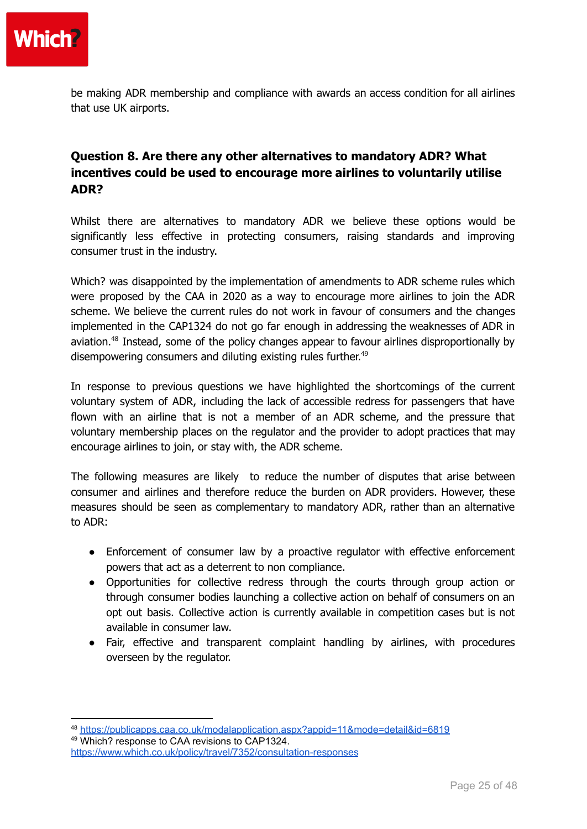

be making ADR membership and compliance with awards an access condition for all airlines that use UK airports.

## **Question 8. Are there any other alternatives to mandatory ADR? What incentives could be used to encourage more airlines to voluntarily utilise ADR?**

Whilst there are alternatives to mandatory ADR we believe these options would be significantly less effective in protecting consumers, raising standards and improving consumer trust in the industry.

Which? was disappointed by the implementation of amendments to ADR scheme rules which were proposed by the CAA in 2020 as a way to encourage more airlines to join the ADR scheme. We believe the current rules do not work in favour of consumers and the changes implemented in the CAP1324 do not go far enough in addressing the weaknesses of ADR in aviation.<sup>48</sup> Instead, some of the policy changes appear to favour airlines disproportionally by disempowering consumers and diluting existing rules further.<sup>49</sup>

In response to previous questions we have highlighted the shortcomings of the current voluntary system of ADR, including the lack of accessible redress for passengers that have flown with an airline that is not a member of an ADR scheme, and the pressure that voluntary membership places on the regulator and the provider to adopt practices that may encourage airlines to join, or stay with, the ADR scheme.

The following measures are likely to reduce the number of disputes that arise between consumer and airlines and therefore reduce the burden on ADR providers. However, these measures should be seen as complementary to mandatory ADR, rather than an alternative to ADR:

- Enforcement of consumer law by a proactive regulator with effective enforcement powers that act as a deterrent to non compliance.
- Opportunities for collective redress through the courts through group action or through consumer bodies launching a collective action on behalf of consumers on an opt out basis. Collective action is currently available in competition cases but is not available in consumer law.
- Fair, effective and transparent complaint handling by airlines, with procedures overseen by the regulator.

<sup>49</sup> Which? response to CAA revisions to CAP1324.

<sup>48</sup> <https://publicapps.caa.co.uk/modalapplication.aspx?appid=11&mode=detail&id=6819>

<https://www.which.co.uk/policy/travel/7352/consultation-responses>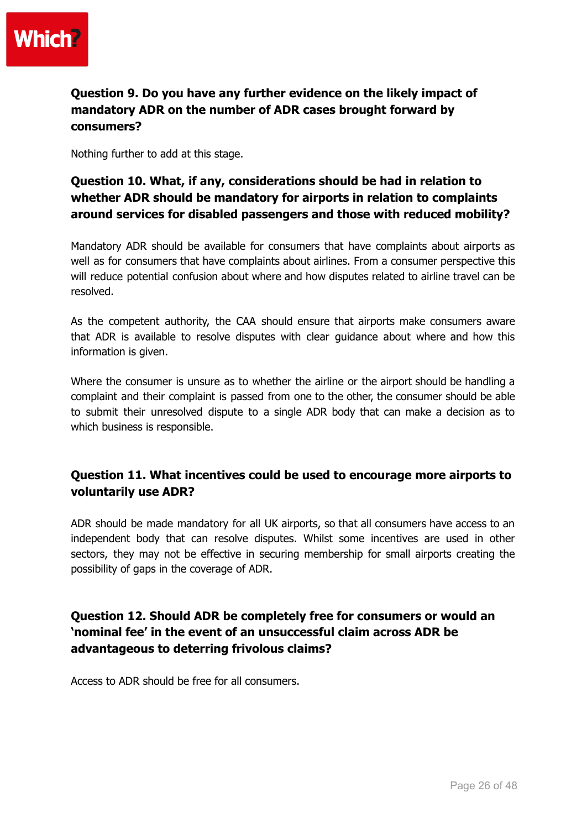

## **Question 9. Do you have any further evidence on the likely impact of mandatory ADR on the number of ADR cases brought forward by consumers?**

Nothing further to add at this stage.

## **Question 10. What, if any, considerations should be had in relation to whether ADR should be mandatory for airports in relation to complaints around services for disabled passengers and those with reduced mobility?**

Mandatory ADR should be available for consumers that have complaints about airports as well as for consumers that have complaints about airlines. From a consumer perspective this will reduce potential confusion about where and how disputes related to airline travel can be resolved.

As the competent authority, the CAA should ensure that airports make consumers aware that ADR is available to resolve disputes with clear guidance about where and how this information is given.

Where the consumer is unsure as to whether the airline or the airport should be handling a complaint and their complaint is passed from one to the other, the consumer should be able to submit their unresolved dispute to a single ADR body that can make a decision as to which business is responsible.

## **Question 11. What incentives could be used to encourage more airports to voluntarily use ADR?**

ADR should be made mandatory for all UK airports, so that all consumers have access to an independent body that can resolve disputes. Whilst some incentives are used in other sectors, they may not be effective in securing membership for small airports creating the possibility of gaps in the coverage of ADR.

## **Question 12. Should ADR be completely free for consumers or would an 'nominal fee' in the event of an unsuccessful claim across ADR be advantageous to deterring frivolous claims?**

Access to ADR should be free for all consumers.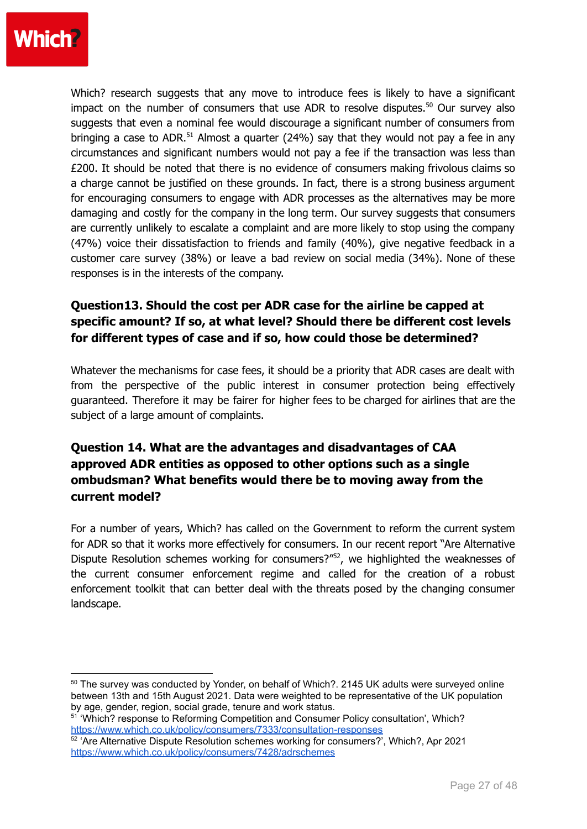

Which? research suggests that any move to introduce fees is likely to have a significant impact on the number of consumers that use ADR to resolve disputes.<sup>50</sup> Our survey also suggests that even a nominal fee would discourage a significant number of consumers from bringing a case to ADR.<sup>51</sup> Almost a quarter (24%) say that they would not pay a fee in any circumstances and significant numbers would not pay a fee if the transaction was less than £200. It should be noted that there is no evidence of consumers making frivolous claims so a charge cannot be justified on these grounds. In fact, there is a strong business argument for encouraging consumers to engage with ADR processes as the alternatives may be more damaging and costly for the company in the long term. Our survey suggests that consumers are currently unlikely to escalate a complaint and are more likely to stop using the company (47%) voice their dissatisfaction to friends and family (40%), give negative feedback in a customer care survey (38%) or leave a bad review on social media (34%). None of these responses is in the interests of the company.

## **Question13. Should the cost per ADR case for the airline be capped at specific amount? If so, at what level? Should there be different cost levels for different types of case and if so, how could those be determined?**

Whatever the mechanisms for case fees, it should be a priority that ADR cases are dealt with from the perspective of the public interest in consumer protection being effectively guaranteed. Therefore it may be fairer for higher fees to be charged for airlines that are the subject of a large amount of complaints.

## **Question 14. What are the advantages and disadvantages of CAA approved ADR entities as opposed to other options such as a single ombudsman? What benefits would there be to moving away from the current model?**

For a number of years, Which? has called on the Government to reform the current system for ADR so that it works more effectively for consumers. In our recent report "Are Alternative Dispute Resolution schemes working for consumers?"<sup>52</sup>, we highlighted the weaknesses of the current consumer enforcement regime and called for the creation of a robust enforcement toolkit that can better deal with the threats posed by the changing consumer landscape.

<sup>50</sup> The survey was conducted by Yonder, on behalf of Which?. 2145 UK adults were surveyed online between 13th and 15th August 2021. Data were weighted to be representative of the UK population by age, gender, region, social grade, tenure and work status.

<sup>51</sup> 'Which? response to Reforming Competition and Consumer Policy consultation', Which? <https://www.which.co.uk/policy/consumers/7333/consultation-responses>

 $52$  'Are Alternative Dispute Resolution schemes working for consumers?', Which?, Apr 2021 <https://www.which.co.uk/policy/consumers/7428/adrschemes>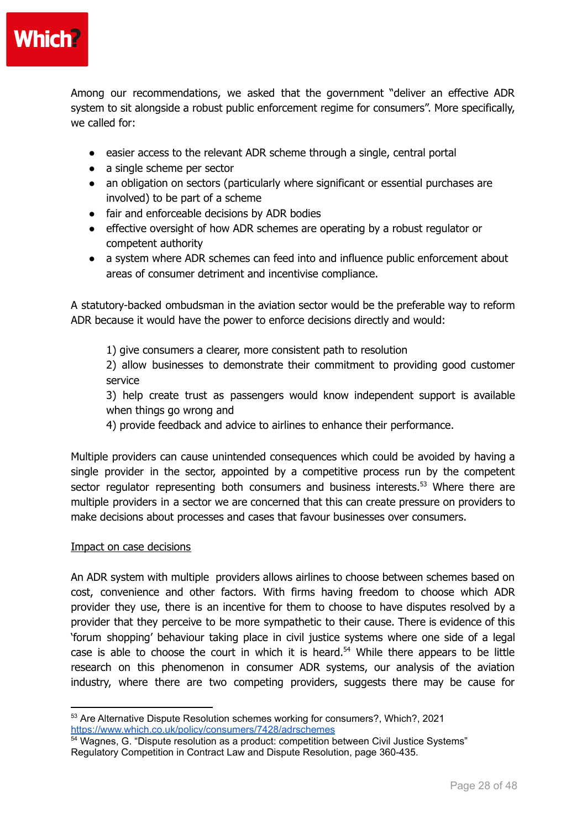

Among our recommendations, we asked that the government "deliver an effective ADR system to sit alongside a robust public enforcement regime for consumers". More specifically, we called for:

- easier access to the relevant ADR scheme through a single, central portal
- a single scheme per sector
- an obligation on sectors (particularly where significant or essential purchases are involved) to be part of a scheme
- fair and enforceable decisions by ADR bodies
- effective oversight of how ADR schemes are operating by a robust regulator or competent authority
- a system where ADR schemes can feed into and influence public enforcement about areas of consumer detriment and incentivise compliance.

A statutory-backed ombudsman in the aviation sector would be the preferable way to reform ADR because it would have the power to enforce decisions directly and would:

1) give consumers a clearer, more consistent path to resolution

2) allow businesses to demonstrate their commitment to providing good customer service

3) help create trust as passengers would know independent support is available when things go wrong and

4) provide feedback and advice to airlines to enhance their performance.

Multiple providers can cause unintended consequences which could be avoided by having a single provider in the sector, appointed by a competitive process run by the competent sector regulator representing both consumers and business interests.<sup>53</sup> Where there are multiple providers in a sector we are concerned that this can create pressure on providers to make decisions about processes and cases that favour businesses over consumers.

#### Impact on case decisions

An ADR system with multiple providers allows airlines to choose between schemes based on cost, convenience and other factors. With firms having freedom to choose which ADR provider they use, there is an incentive for them to choose to have disputes resolved by a provider that they perceive to be more sympathetic to their cause. There is evidence of this 'forum shopping' behaviour taking place in civil justice systems where one side of a legal case is able to choose the court in which it is heard.<sup>54</sup> While there appears to be little research on this phenomenon in consumer ADR systems, our analysis of the aviation industry, where there are two competing providers, suggests there may be cause for

<sup>53</sup> Are Alternative Dispute Resolution schemes working for consumers?, Which?, 2021 <https://www.which.co.uk/policy/consumers/7428/adrschemes>

<sup>&</sup>lt;sup>54</sup> Wagnes, G. "Dispute resolution as a product: competition between Civil Justice Systems" Regulatory Competition in Contract Law and Dispute Resolution, page 360-435.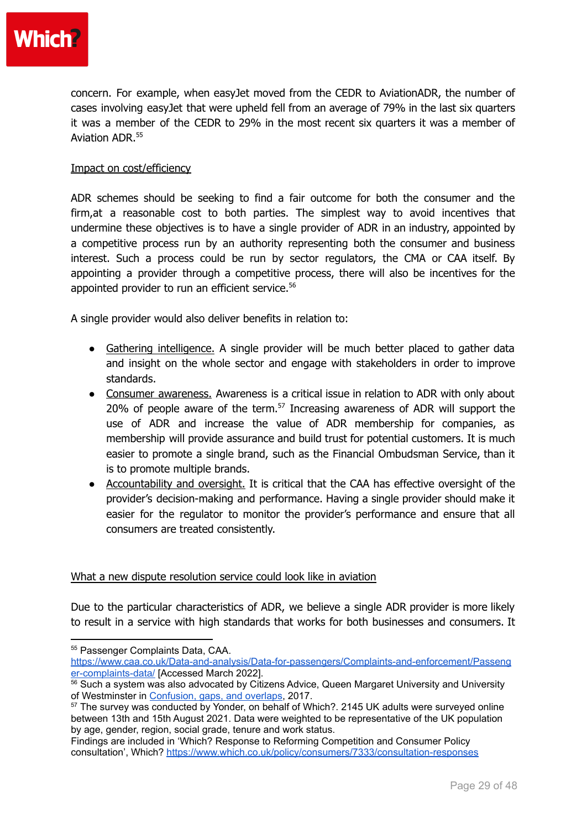

concern. For example, when easyJet moved from the CEDR to AviationADR, the number of cases involving easyJet that were upheld fell from an average of 79% in the last six quarters it was a member of the CEDR to 29% in the most recent six quarters it was a member of Aviation ADR. 55

#### Impact on cost/efficiency

ADR schemes should be seeking to find a fair outcome for both the consumer and the firm,at a reasonable cost to both parties. The simplest way to avoid incentives that undermine these objectives is to have a single provider of ADR in an industry, appointed by a competitive process run by an authority representing both the consumer and business interest. Such a process could be run by sector regulators, the CMA or CAA itself. By appointing a provider through a competitive process, there will also be incentives for the appointed provider to run an efficient service. 56

A single provider would also deliver benefits in relation to:

- Gathering intelligence. A single provider will be much better placed to gather data and insight on the whole sector and engage with stakeholders in order to improve standards.
- Consumer awareness. Awareness is a critical issue in relation to ADR with only about 20% of people aware of the term. $57$  Increasing awareness of ADR will support the use of ADR and increase the value of ADR membership for companies, as membership will provide assurance and build trust for potential customers. It is much easier to promote a single brand, such as the Financial Ombudsman Service, than it is to promote multiple brands.
- Accountability and oversight. It is critical that the CAA has effective oversight of the provider's decision-making and performance. Having a single provider should make it easier for the regulator to monitor the provider's performance and ensure that all consumers are treated consistently.

#### What a new dispute resolution service could look like in aviation

Due to the particular characteristics of ADR, we believe a single ADR provider is more likely to result in a service with high standards that works for both businesses and consumers. It

[https://www.caa.co.uk/Data-and-analysis/Data-for-passengers/Complaints-and-enforcement/Passeng](https://www.caa.co.uk/Data-and-analysis/Data-for-passengers/Complaints-and-enforcement/Passenger-complaints-data/) [er-complaints-data/](https://www.caa.co.uk/Data-and-analysis/Data-for-passengers/Complaints-and-enforcement/Passenger-complaints-data/) [Accessed March 2022].

<sup>55</sup> Passenger Complaints Data, CAA.

<sup>&</sup>lt;sup>56</sup> Such a system was also advocated by Citizens Advice, Queen Margaret University and University of Westminster in [Confusion,](https://westminsterresearch.westminster.ac.uk/download/0b78e14424e66434dad86085ee1e7e4b0b6764bfc2249946965ab08cc8112da2/1481552/Confusiongapsandoverlaps-Original1.docx.pdf) gaps, and overlaps, 2017.

<sup>&</sup>lt;sup>57</sup> The survey was conducted by Yonder, on behalf of Which?, 2145 UK adults were surveyed online between 13th and 15th August 2021. Data were weighted to be representative of the UK population by age, gender, region, social grade, tenure and work status.

Findings are included in 'Which? Response to Reforming Competition and Consumer Policy consultation', Which? <https://www.which.co.uk/policy/consumers/7333/consultation-responses>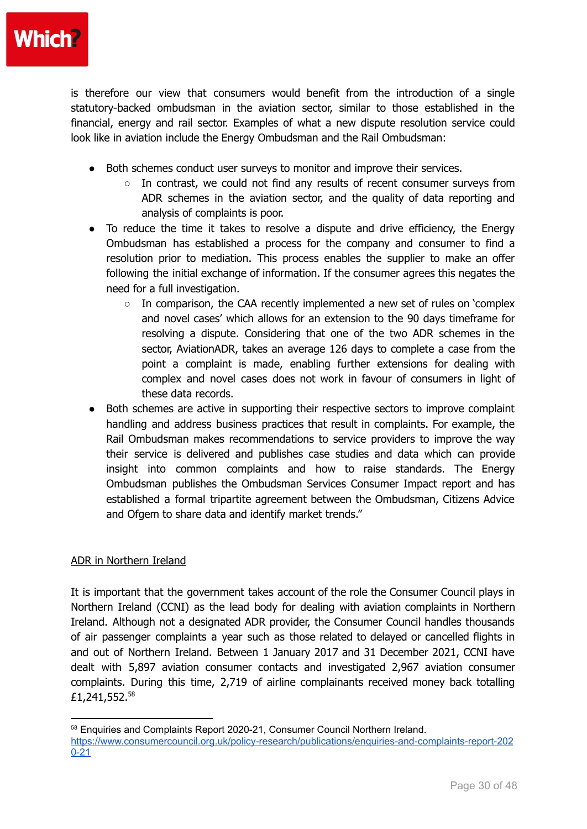is therefore our view that consumers would benefit from the introduction of a single statutory-backed ombudsman in the aviation sector, similar to those established in the financial, energy and rail sector. Examples of what a new dispute resolution service could look like in aviation include the Energy Ombudsman and the Rail Ombudsman:

- Both schemes conduct user surveys to monitor and improve their services.
	- In contrast, we could not find any results of recent consumer surveys from ADR schemes in the aviation sector, and the quality of data reporting and analysis of complaints is poor.
- To reduce the time it takes to resolve a dispute and drive efficiency, the Energy Ombudsman has established a process for the company and consumer to find a resolution prior to mediation. This process enables the supplier to make an offer following the initial exchange of information. If the consumer agrees this negates the need for a full investigation.
	- $\circ$  In comparison, the CAA recently implemented a new set of rules on 'complex and novel cases' which allows for an extension to the 90 days timeframe for resolving a dispute. Considering that one of the two ADR schemes in the sector, AviationADR, takes an average 126 days to complete a case from the point a complaint is made, enabling further extensions for dealing with complex and novel cases does not work in favour of consumers in light of these data records.
- Both schemes are active in supporting their respective sectors to improve complaint handling and address business practices that result in complaints. For example, the Rail Ombudsman makes recommendations to service providers to improve the way their service is delivered and publishes case studies and data which can provide insight into common complaints and how to raise standards. The Energy Ombudsman publishes the Ombudsman Services Consumer Impact report and has established a formal tripartite agreement between the Ombudsman, Citizens Advice and Ofgem to share data and identify market trends."

#### ADR in Northern Ireland

It is important that the government takes account of the role the Consumer Council plays in Northern Ireland (CCNI) as the lead body for dealing with aviation complaints in Northern Ireland. Although not a designated ADR provider, the Consumer Council handles thousands of air passenger complaints a year such as those related to delayed or cancelled flights in and out of Northern Ireland. Between 1 January 2017 and 31 December 2021, CCNI have dealt with 5,897 aviation consumer contacts and investigated 2,967 aviation consumer complaints. During this time, 2,719 of airline complainants received money back totalling £1,241,552.<sup>58</sup>

<sup>58</sup> Enquiries and Complaints Report 2020-21, Consumer Council Northern Ireland.

[https://www.consumercouncil.org.uk/policy-research/publications/enquiries-and-complaints-report-202](https://www.consumercouncil.org.uk/policy-research/publications/enquiries-and-complaints-report-2020-21) [0-21](https://www.consumercouncil.org.uk/policy-research/publications/enquiries-and-complaints-report-2020-21)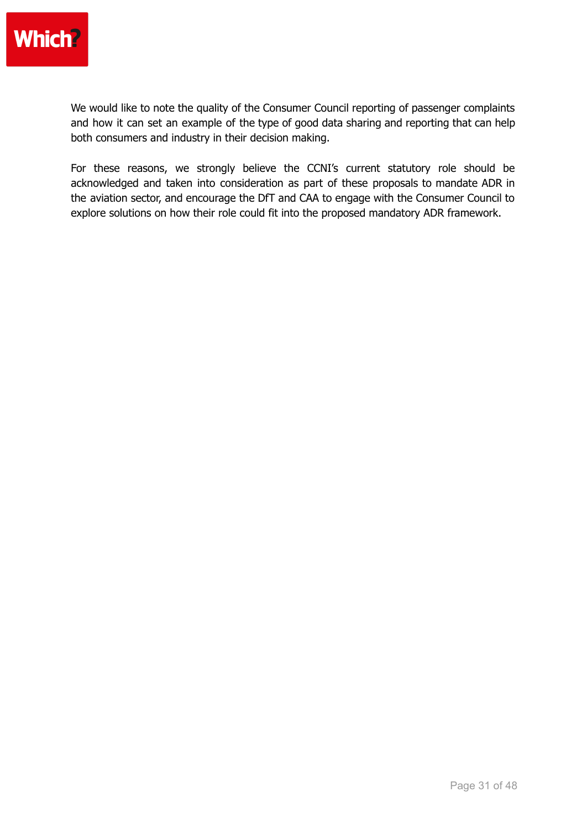

We would like to note the quality of the Consumer Council reporting of passenger complaints and how it can set an example of the type of good data sharing and reporting that can help both consumers and industry in their decision making.

For these reasons, we strongly believe the CCNI's current statutory role should be acknowledged and taken into consideration as part of these proposals to mandate ADR in the aviation sector, and encourage the DfT and CAA to engage with the Consumer Council to explore solutions on how their role could fit into the proposed mandatory ADR framework.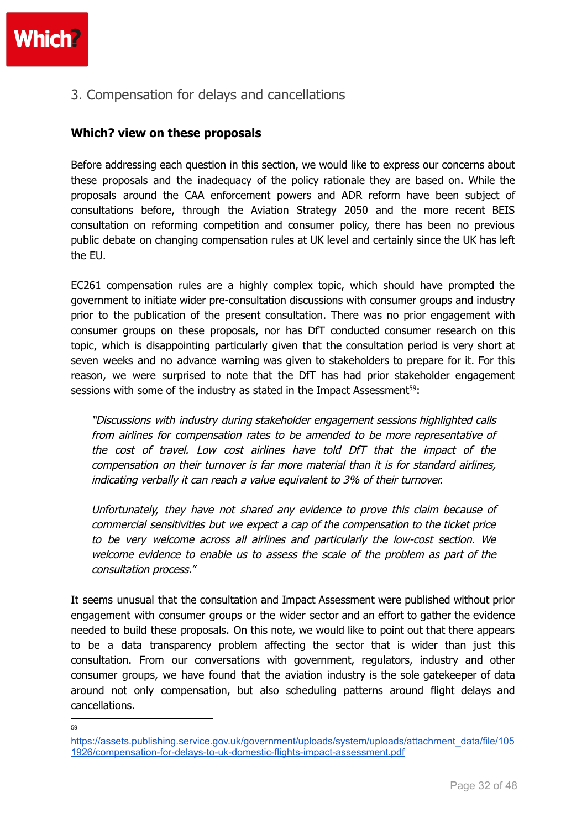3. Compensation for delays and cancellations

#### **Which? view on these proposals**

Before addressing each question in this section, we would like to express our concerns about these proposals and the inadequacy of the policy rationale they are based on. While the proposals around the CAA enforcement powers and ADR reform have been subject of consultations before, through the Aviation Strategy 2050 and the more recent BEIS consultation on reforming competition and consumer policy, there has been no previous public debate on changing compensation rules at UK level and certainly since the UK has left the EU.

EC261 compensation rules are a highly complex topic, which should have prompted the government to initiate wider pre-consultation discussions with consumer groups and industry prior to the publication of the present consultation. There was no prior engagement with consumer groups on these proposals, nor has DfT conducted consumer research on this topic, which is disappointing particularly given that the consultation period is very short at seven weeks and no advance warning was given to stakeholders to prepare for it. For this reason, we were surprised to note that the DfT has had prior stakeholder engagement sessions with some of the industry as stated in the Impact Assessment<sup>59</sup>:

"Discussions with industry during stakeholder engagement sessions highlighted calls from airlines for compensation rates to be amended to be more representative of the cost of travel. Low cost airlines have told DfT that the impact of the compensation on their turnover is far more material than it is for standard airlines, indicating verbally it can reach <sup>a</sup> value equivalent to 3% of their turnover.

Unfortunately, they have not shared any evidence to prove this claim because of commercial sensitivities but we expect <sup>a</sup> cap of the compensation to the ticket price to be very welcome across all airlines and particularly the low-cost section. We welcome evidence to enable us to assess the scale of the problem as part of the consultation process."

It seems unusual that the consultation and Impact Assessment were published without prior engagement with consumer groups or the wider sector and an effort to gather the evidence needed to build these proposals. On this note, we would like to point out that there appears to be a data transparency problem affecting the sector that is wider than just this consultation. From our conversations with government, regulators, industry and other consumer groups, we have found that the aviation industry is the sole gatekeeper of data around not only compensation, but also scheduling patterns around flight delays and cancellations.

59

[https://assets.publishing.service.gov.uk/government/uploads/system/uploads/attachment\\_data/file/105](https://assets.publishing.service.gov.uk/government/uploads/system/uploads/attachment_data/file/1051926/compensation-for-delays-to-uk-domestic-flights-impact-assessment.pdf) [1926/compensation-for-delays-to-uk-domestic-flights-impact-assessment.pdf](https://assets.publishing.service.gov.uk/government/uploads/system/uploads/attachment_data/file/1051926/compensation-for-delays-to-uk-domestic-flights-impact-assessment.pdf)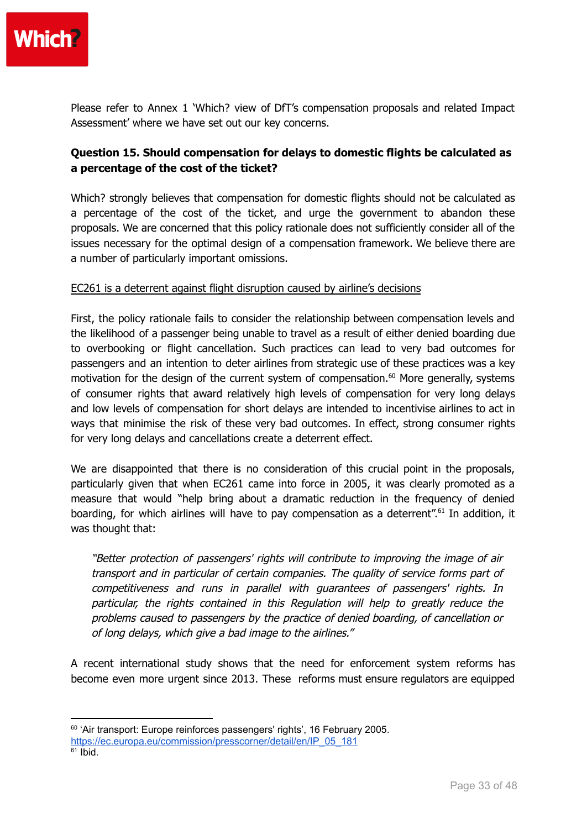

Please refer to Annex 1 'Which? view of DfT's compensation proposals and related Impact Assessment' where we have set out our key concerns.

#### **Question 15. Should compensation for delays to domestic flights be calculated as a percentage of the cost of the ticket?**

Which? strongly believes that compensation for domestic flights should not be calculated as a percentage of the cost of the ticket, and urge the government to abandon these proposals. We are concerned that this policy rationale does not sufficiently consider all of the issues necessary for the optimal design of a compensation framework. We believe there are a number of particularly important omissions.

#### EC261 is a deterrent against flight disruption caused by airline's decisions

First, the policy rationale fails to consider the relationship between compensation levels and the likelihood of a passenger being unable to travel as a result of either denied boarding due to overbooking or flight cancellation. Such practices can lead to very bad outcomes for passengers and an intention to deter airlines from strategic use of these practices was a key motivation for the design of the current system of compensation. <sup>60</sup> More generally, systems of consumer rights that award relatively high levels of compensation for very long delays and low levels of compensation for short delays are intended to incentivise airlines to act in ways that minimise the risk of these very bad outcomes. In effect, strong consumer rights for very long delays and cancellations create a deterrent effect.

We are disappointed that there is no consideration of this crucial point in the proposals, particularly given that when EC261 came into force in 2005, it was clearly promoted as a measure that would "help bring about a dramatic reduction in the frequency of denied boarding, for which airlines will have to pay compensation as a deterrent".<sup>61</sup> In addition, it was thought that:

"Better protection of passengers' rights will contribute to improving the image of air transport and in particular of certain companies. The quality of service forms part of competitiveness and runs in parallel with guarantees of passengers' rights. In particular, the rights contained in this Regulation will help to greatly reduce the problems caused to passengers by the practice of denied boarding, of cancellation or of long delays, which give <sup>a</sup> bad image to the airlines."

A recent international study shows that the need for enforcement system reforms has become even more urgent since 2013. These reforms must ensure regulators are equipped

<sup>&</sup>lt;sup>60</sup> 'Air transport: Europe reinforces passengers' rights', 16 February 2005.

 $61$  Ibid. [https://ec.europa.eu/commission/presscorner/detail/en/IP\\_05\\_181](https://ec.europa.eu/commission/presscorner/detail/en/IP_05_181)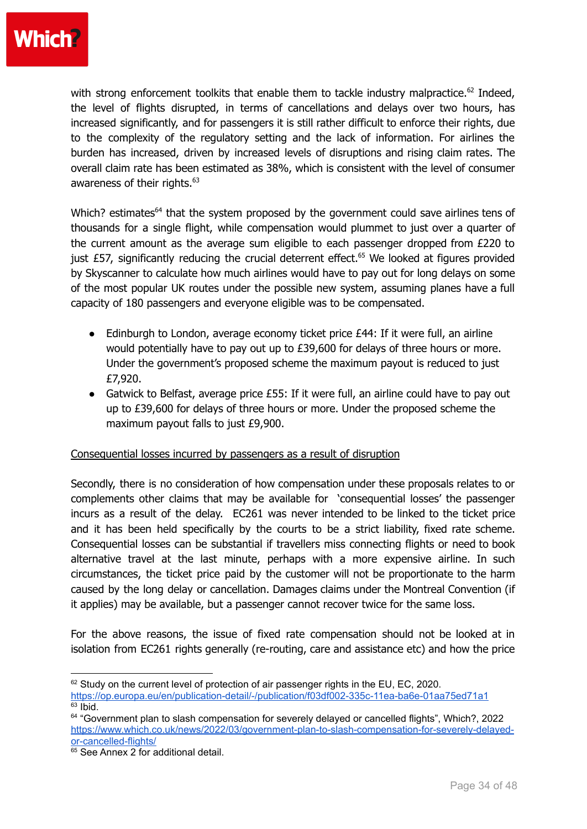

with strong enforcement toolkits that enable them to tackle industry malpractice.<sup>62</sup> Indeed, the level of flights disrupted, in terms of cancellations and delays over two hours, has increased significantly, and for passengers it is still rather difficult to enforce their rights, due to the complexity of the regulatory setting and the lack of information. For airlines the burden has increased, driven by increased levels of disruptions and rising claim rates. The overall claim rate has been estimated as 38%, which is consistent with the level of consumer awareness of their rights.<sup>63</sup>

Which? estimates<sup>64</sup> that the system proposed by the government could save airlines tens of thousands for a single flight, while compensation would plummet to just over a quarter of the current amount as the average sum eligible to each passenger dropped from £220 to just £57, significantly reducing the crucial deterrent effect. <sup>65</sup> We looked at figures provided by Skyscanner to calculate how much airlines would have to pay out for long delays on some of the most popular UK routes under the possible new system, assuming planes have a full capacity of 180 passengers and everyone eligible was to be compensated.

- $\bullet$  Edinburgh to London, average economy ticket price £44: If it were full, an airline would potentially have to pay out up to £39,600 for delays of three hours or more. Under the government's proposed scheme the maximum payout is reduced to just £7,920.
- Gatwick to Belfast, average price £55: If it were full, an airline could have to pay out up to £39,600 for delays of three hours or more. Under the proposed scheme the maximum payout falls to just £9,900.

#### Consequential losses incurred by passengers as a result of disruption

Secondly, there is no consideration of how compensation under these proposals relates to or complements other claims that may be available for 'consequential losses' the passenger incurs as a result of the delay. EC261 was never intended to be linked to the ticket price and it has been held specifically by the courts to be a strict liability, fixed rate scheme. Consequential losses can be substantial if travellers miss connecting flights or need to book alternative travel at the last minute, perhaps with a more expensive airline. In such circumstances, the ticket price paid by the customer will not be proportionate to the harm caused by the long delay or cancellation. Damages claims under the Montreal Convention (if it applies) may be available, but a passenger cannot recover twice for the same loss.

For the above reasons, the issue of fixed rate compensation should not be looked at in isolation from EC261 rights generally (re-routing, care and assistance etc) and how the price

 $63$  Ibid.  $62$  Study on the current level of protection of air passenger rights in the EU, EC, 2020. <https://op.europa.eu/en/publication-detail/-/publication/f03df002-335c-11ea-ba6e-01aa75ed71a1>

<sup>&</sup>lt;sup>64</sup> "Government plan to slash compensation for severely delayed or cancelled flights", Which?, 2022 [https://www.which.co.uk/news/2022/03/government-plan-to-slash-compensation-for-severely-delayed](https://www.which.co.uk/news/2022/03/government-plan-to-slash-compensation-for-severely-delayed-or-cancelled-flights/)[or-cancelled-flights/](https://www.which.co.uk/news/2022/03/government-plan-to-slash-compensation-for-severely-delayed-or-cancelled-flights/)

 $65$  See Annex 2 for additional detail.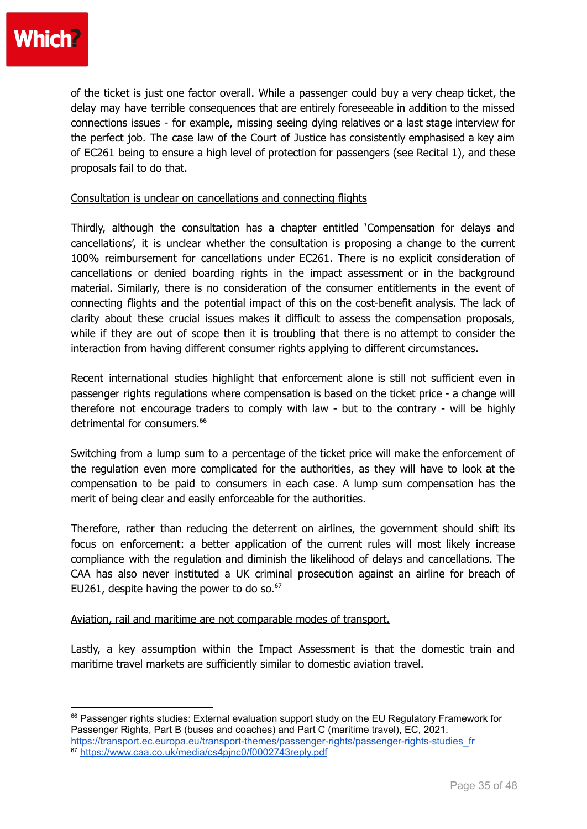of the ticket is just one factor overall. While a passenger could buy a very cheap ticket, the delay may have terrible consequences that are entirely foreseeable in addition to the missed connections issues - for example, missing seeing dying relatives or a last stage interview for the perfect job. The case law of the Court of Justice has consistently emphasised a key aim of EC261 being to ensure a high level of protection for passengers (see Recital 1), and these proposals fail to do that.

#### Consultation is unclear on cancellations and connecting flights

Thirdly, although the consultation has a chapter entitled 'Compensation for delays and cancellations', it is unclear whether the consultation is proposing a change to the current 100% reimbursement for cancellations under EC261. There is no explicit consideration of cancellations or denied boarding rights in the impact assessment or in the background material. Similarly, there is no consideration of the consumer entitlements in the event of connecting flights and the potential impact of this on the cost-benefit analysis. The lack of clarity about these crucial issues makes it difficult to assess the compensation proposals, while if they are out of scope then it is troubling that there is no attempt to consider the interaction from having different consumer rights applying to different circumstances.

Recent international studies highlight that enforcement alone is still not sufficient even in passenger rights regulations where compensation is based on the ticket price - a change will therefore not encourage traders to comply with law - but to the contrary - will be highly detrimental for consumers. 66

Switching from a lump sum to a percentage of the ticket price will make the enforcement of the regulation even more complicated for the authorities, as they will have to look at the compensation to be paid to consumers in each case. A lump sum compensation has the merit of being clear and easily enforceable for the authorities.

Therefore, rather than reducing the deterrent on airlines, the government should shift its focus on enforcement: a better application of the current rules will most likely increase compliance with the regulation and diminish the likelihood of delays and cancellations. The CAA has also never instituted a UK criminal prosecution against an airline for breach of EU261, despite having the power to do so. $67$ 

#### Aviation, rail and maritime are not comparable modes of transport.

Lastly, a key assumption within the Impact Assessment is that the domestic train and maritime travel markets are sufficiently similar to domestic aviation travel.

<sup>&</sup>lt;sup>66</sup> Passenger rights studies: External evaluation support study on the EU Regulatory Framework for Passenger Rights, Part B (buses and coaches) and Part C (maritime travel), EC, 2021.

<sup>67</sup> <https://www.caa.co.uk/media/cs4pjnc0/f0002743reply.pdf> [https://transport.ec.europa.eu/transport-themes/passenger-rights/passenger-rights-studies\\_fr](https://transport.ec.europa.eu/transport-themes/passenger-rights/passenger-rights-studies_fr)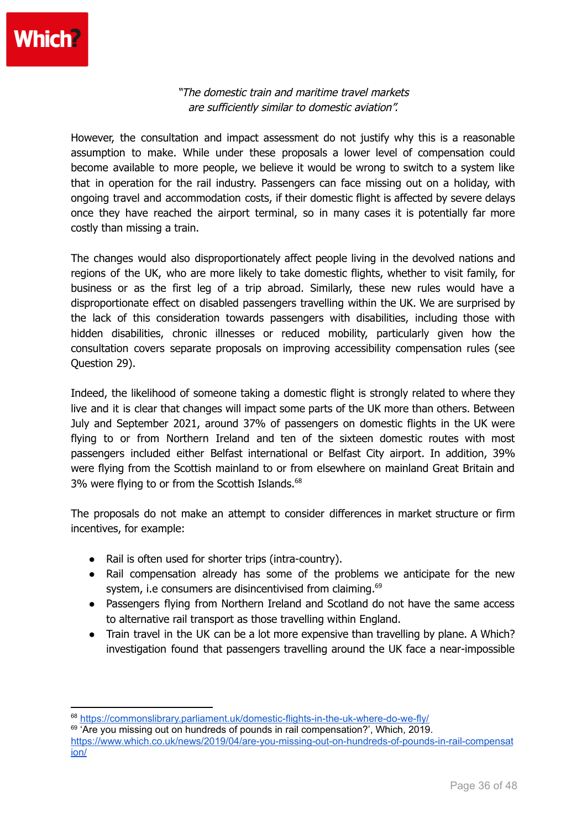"The domestic train and maritime travel markets are sufficiently similar to domestic aviation".

However, the consultation and impact assessment do not justify why this is a reasonable assumption to make. While under these proposals a lower level of compensation could become available to more people, we believe it would be wrong to switch to a system like that in operation for the rail industry. Passengers can face missing out on a holiday, with ongoing travel and accommodation costs, if their domestic flight is affected by severe delays once they have reached the airport terminal, so in many cases it is potentially far more costly than missing a train.

The changes would also disproportionately affect people living in the devolved nations and regions of the UK, who are more likely to take domestic flights, whether to visit family, for business or as the first leg of a trip abroad. Similarly, these new rules would have a disproportionate effect on disabled passengers travelling within the UK. We are surprised by the lack of this consideration towards passengers with disabilities, including those with hidden disabilities, chronic illnesses or reduced mobility, particularly given how the consultation covers separate proposals on improving accessibility compensation rules (see Question 29).

Indeed, the likelihood of someone taking a domestic flight is strongly related to where they live and it is clear that changes will impact some parts of the UK more than others. Between July and September 2021, around 37% of passengers on domestic flights in the UK were flying to or from Northern Ireland and ten of the sixteen domestic routes with most passengers included either Belfast international or Belfast City airport. In addition, 39% were flying from the Scottish mainland to or from elsewhere on mainland Great Britain and 3% were flying to or from the Scottish Islands.<sup>68</sup>

The proposals do not make an attempt to consider differences in market structure or firm incentives, for example:

- Rail is often used for shorter trips (intra-country).
- Rail compensation already has some of the problems we anticipate for the new system, i.e consumers are disincentivised from claiming.<sup>69</sup>
- Passengers flying from Northern Ireland and Scotland do not have the same access to alternative rail transport as those travelling within England.
- Train travel in the UK can be a lot more expensive than travelling by plane. A Which? investigation found that passengers travelling around the UK face a near-impossible

<sup>68</sup> <https://commonslibrary.parliament.uk/domestic-flights-in-the-uk-where-do-we-fly/>

<sup>&</sup>lt;sup>69</sup> 'Are you missing out on hundreds of pounds in rail compensation?', Which, 2019. [https://www.which.co.uk/news/2019/04/are-you-missing-out-on-hundreds-of-pounds-in-rail-compensat](https://www.which.co.uk/news/2019/04/are-you-missing-out-on-hundreds-of-pounds-in-rail-compensation/) [ion/](https://www.which.co.uk/news/2019/04/are-you-missing-out-on-hundreds-of-pounds-in-rail-compensation/)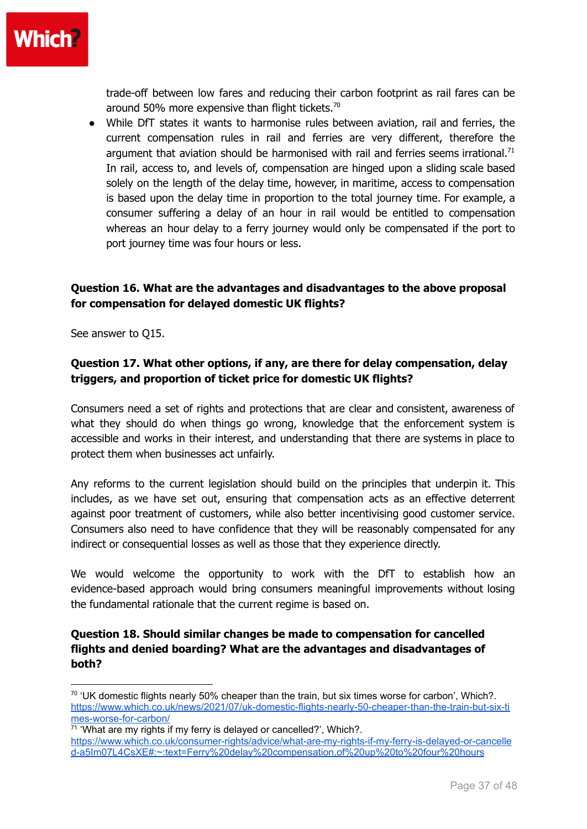

trade-off between low fares and reducing their carbon footprint as rail fares can be around 50% more expensive than flight tickets.<sup>70</sup>

● While DfT states it wants to harmonise rules between aviation, rail and ferries, the current compensation rules in rail and ferries are very different, therefore the argument that aviation should be harmonised with rail and ferries seems irrational.<sup>71</sup> In rail, access to, and levels of, compensation are hinged upon a sliding scale based solely on the length of the delay time, however, in maritime, access to compensation is based upon the delay time in proportion to the total journey time. For example, a consumer suffering a delay of an hour in rail would be entitled to compensation whereas an hour delay to a ferry journey would only be compensated if the port to port journey time was four hours or less.

#### **Question 16. What are the advantages and disadvantages to the above proposal for compensation for delayed domestic UK flights?**

See answer to Q15.

#### **Question 17. What other options, if any, are there for delay compensation, delay triggers, and proportion of ticket price for domestic UK flights?**

Consumers need a set of rights and protections that are clear and consistent, awareness of what they should do when things go wrong, knowledge that the enforcement system is accessible and works in their interest, and understanding that there are systems in place to protect them when businesses act unfairly.

Any reforms to the current legislation should build on the principles that underpin it. This includes, as we have set out, ensuring that compensation acts as an effective deterrent against poor treatment of customers, while also better incentivising good customer service. Consumers also need to have confidence that they will be reasonably compensated for any indirect or consequential losses as well as those that they experience directly.

We would welcome the opportunity to work with the DfT to establish how an evidence-based approach would bring consumers meaningful improvements without losing the fundamental rationale that the current regime is based on.

#### **Question 18. Should similar changes be made to compensation for cancelled flights and denied boarding? What are the advantages and disadvantages of both?**

 $70$  'UK domestic flights nearly 50% cheaper than the train, but six times worse for carbon', Which?. [https://www.which.co.uk/news/2021/07/uk-domestic-flights-nearly-50-cheaper-than-the-train-but-six-ti](https://www.which.co.uk/news/2021/07/uk-domestic-flights-nearly-50-cheaper-than-the-train-but-six-times-worse-for-carbon/) [mes-worse-for-carbon/](https://www.which.co.uk/news/2021/07/uk-domestic-flights-nearly-50-cheaper-than-the-train-but-six-times-worse-for-carbon/)

<sup>&</sup>lt;sup>71</sup> 'What are my rights if my ferry is delayed or cancelled?', Which?. [https://www.which.co.uk/consumer-rights/advice/what-are-my-rights-if-my-ferry-is-delayed-or-cancelle](https://www.which.co.uk/consumer-rights/advice/what-are-my-rights-if-my-ferry-is-delayed-or-cancelled-a5Im07L4CsXE#:~:text=Ferry%20delay%20compensation,of%20up%20to%20four%20hours) [d-a5Im07L4CsXE#:~:text=Ferry%20delay%20compensation,of%20up%20to%20four%20hours](https://www.which.co.uk/consumer-rights/advice/what-are-my-rights-if-my-ferry-is-delayed-or-cancelled-a5Im07L4CsXE#:~:text=Ferry%20delay%20compensation,of%20up%20to%20four%20hours)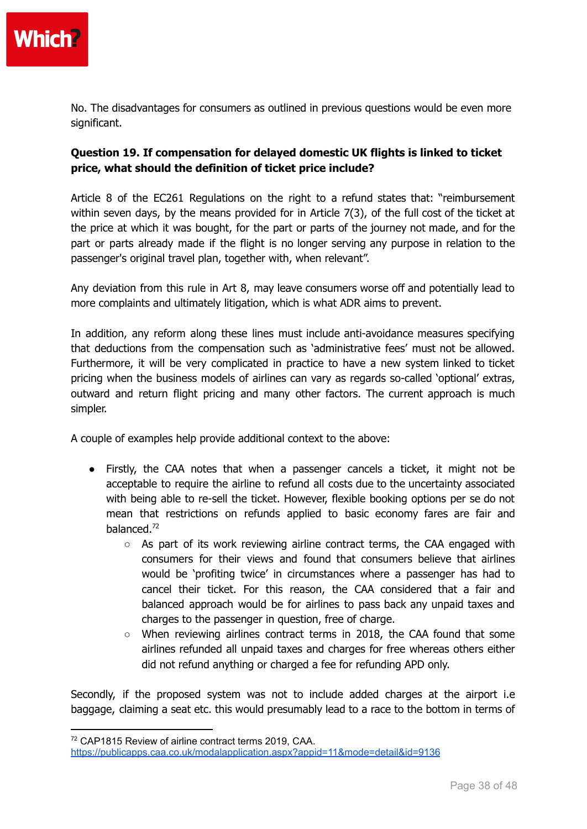

No. The disadvantages for consumers as outlined in previous questions would be even more significant.

#### **Question 19. If compensation for delayed domestic UK flights is linked to ticket price, what should the definition of ticket price include?**

Article 8 of the EC261 Regulations on the right to a refund states that: "reimbursement within seven days, by the means provided for in Article 7(3), of the full cost of the ticket at the price at which it was bought, for the part or parts of the journey not made, and for the part or parts already made if the flight is no longer serving any purpose in relation to the passenger's original travel plan, together with, when relevant".

Any deviation from this rule in Art 8, may leave consumers worse off and potentially lead to more complaints and ultimately litigation, which is what ADR aims to prevent.

In addition, any reform along these lines must include anti-avoidance measures specifying that deductions from the compensation such as 'administrative fees' must not be allowed. Furthermore, it will be very complicated in practice to have a new system linked to ticket pricing when the business models of airlines can vary as regards so-called 'optional' extras, outward and return flight pricing and many other factors. The current approach is much simpler.

A couple of examples help provide additional context to the above:

- Firstly, the CAA notes that when a passenger cancels a ticket, it might not be acceptable to require the airline to refund all costs due to the uncertainty associated with being able to re-sell the ticket. However, flexible booking options per se do not mean that restrictions on refunds applied to basic economy fares are fair and balanced. 72
	- $\circ$  As part of its work reviewing airline contract terms, the CAA engaged with consumers for their views and found that consumers believe that airlines would be 'profiting twice' in circumstances where a passenger has had to cancel their ticket. For this reason, the CAA considered that a fair and balanced approach would be for airlines to pass back any unpaid taxes and charges to the passenger in question, free of charge.
	- $\circ$  When reviewing airlines contract terms in 2018, the CAA found that some airlines refunded all unpaid taxes and charges for free whereas others either did not refund anything or charged a fee for refunding APD only.

Secondly, if the proposed system was not to include added charges at the airport i.e baggage, claiming a seat etc. this would presumably lead to a race to the bottom in terms of

<sup>72</sup> CAP1815 Review of airline contract terms 2019, CAA.

<https://publicapps.caa.co.uk/modalapplication.aspx?appid=11&mode=detail&id=9136>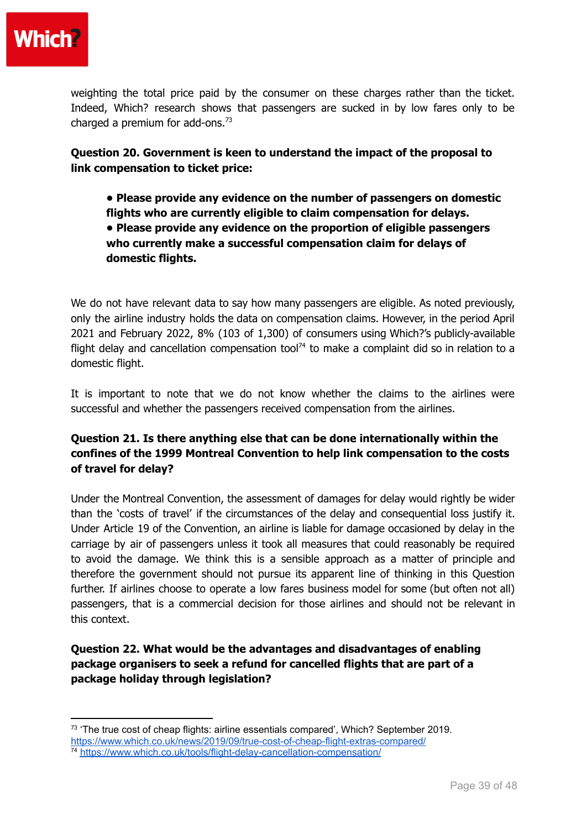

weighting the total price paid by the consumer on these charges rather than the ticket. Indeed, Which? research shows that passengers are sucked in by low fares only to be charged a premium for add-ons. $73$ 

**Question 20. Government is keen to understand the impact of the proposal to link compensation to ticket price:**

- **• Please provide any evidence on the number of passengers on domestic flights who are currently eligible to claim compensation for delays.**
- **• Please provide any evidence on the proportion of eligible passengers who currently make a successful compensation claim for delays of domestic flights.**

We do not have relevant data to say how many passengers are eligible. As noted previously, only the airline industry holds the data on compensation claims. However, in the period April 2021 and February 2022, 8% (103 of 1,300) of consumers using Which?'s publicly-available flight delay and cancellation compensation tool<sup>74</sup> to make a complaint did so in relation to a domestic flight.

It is important to note that we do not know whether the claims to the airlines were successful and whether the passengers received compensation from the airlines.

## **Question 21. Is there anything else that can be done internationally within the confines of the 1999 Montreal Convention to help link compensation to the costs of travel for delay?**

Under the Montreal Convention, the assessment of damages for delay would rightly be wider than the 'costs of travel' if the circumstances of the delay and consequential loss justify it. Under Article 19 of the Convention, an airline is liable for damage occasioned by delay in the carriage by air of passengers unless it took all measures that could reasonably be required to avoid the damage. We think this is a sensible approach as a matter of principle and therefore the government should not pursue its apparent line of thinking in this Question further. If airlines choose to operate a low fares business model for some (but often not all) passengers, that is a commercial decision for those airlines and should not be relevant in this context.

**Question 22. What would be the advantages and disadvantages of enabling package organisers to seek a refund for cancelled flights that are part of a package holiday through legislation?**

<sup>74</sup> <https://www.which.co.uk/tools/flight-delay-cancellation-compensation/>  $73$  'The true cost of cheap flights: airline essentials compared', Which? September 2019. <https://www.which.co.uk/news/2019/09/true-cost-of-cheap-flight-extras-compared/>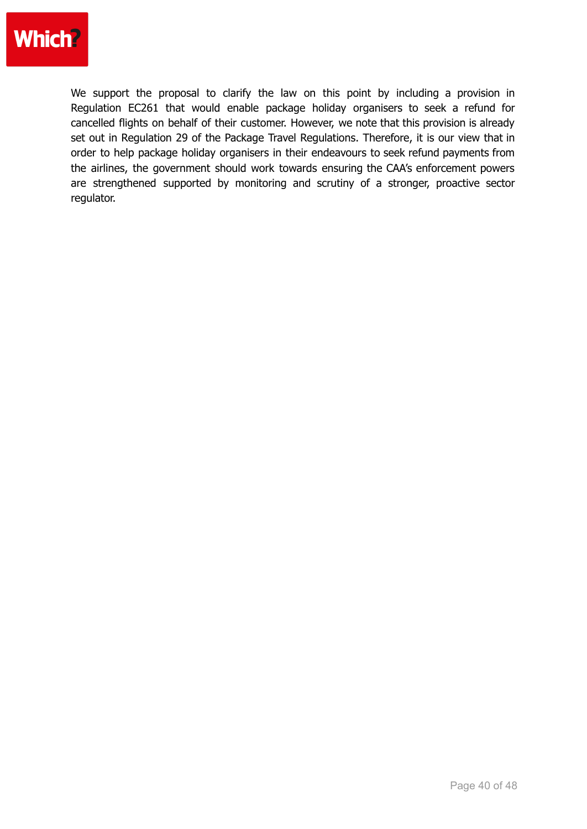

We support the proposal to clarify the law on this point by including a provision in Regulation EC261 that would enable package holiday organisers to seek a refund for cancelled flights on behalf of their customer. However, we note that this provision is already set out in Regulation 29 of the Package Travel Regulations. Therefore, it is our view that in order to help package holiday organisers in their endeavours to seek refund payments from the airlines, the government should work towards ensuring the CAA's enforcement powers are strengthened supported by monitoring and scrutiny of a stronger, proactive sector regulator.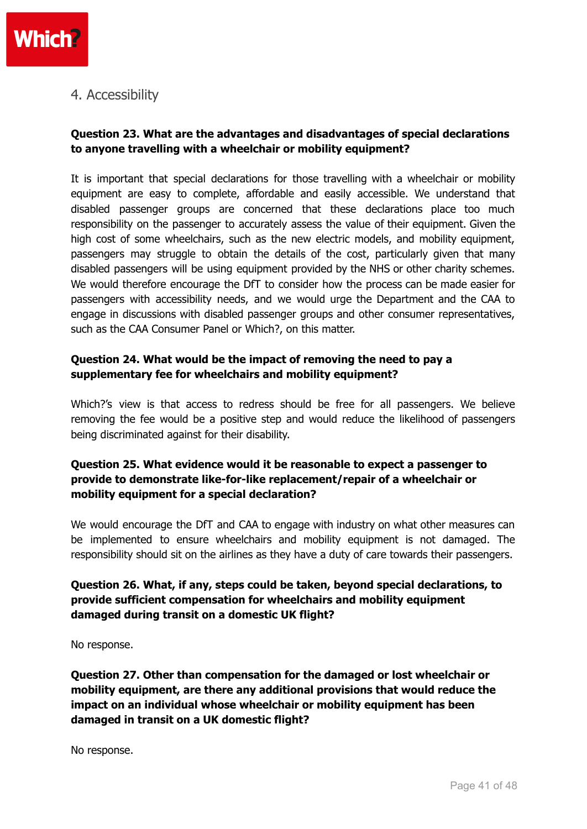

## 4. Accessibility

#### **Question 23. What are the advantages and disadvantages of special declarations to anyone travelling with a wheelchair or mobility equipment?**

It is important that special declarations for those travelling with a wheelchair or mobility equipment are easy to complete, affordable and easily accessible. We understand that disabled passenger groups are concerned that these declarations place too much responsibility on the passenger to accurately assess the value of their equipment. Given the high cost of some wheelchairs, such as the new electric models, and mobility equipment, passengers may struggle to obtain the details of the cost, particularly given that many disabled passengers will be using equipment provided by the NHS or other charity schemes. We would therefore encourage the DfT to consider how the process can be made easier for passengers with accessibility needs, and we would urge the Department and the CAA to engage in discussions with disabled passenger groups and other consumer representatives, such as the CAA Consumer Panel or Which?, on this matter.

#### **Question 24. What would be the impact of removing the need to pay a supplementary fee for wheelchairs and mobility equipment?**

Which?'s view is that access to redress should be free for all passengers. We believe removing the fee would be a positive step and would reduce the likelihood of passengers being discriminated against for their disability.

#### **Question 25. What evidence would it be reasonable to expect a passenger to provide to demonstrate like-for-like replacement/repair of a wheelchair or mobility equipment for a special declaration?**

We would encourage the DfT and CAA to engage with industry on what other measures can be implemented to ensure wheelchairs and mobility equipment is not damaged. The responsibility should sit on the airlines as they have a duty of care towards their passengers.

#### **Question 26. What, if any, steps could be taken, beyond special declarations, to provide sufficient compensation for wheelchairs and mobility equipment damaged during transit on a domestic UK flight?**

No response.

**Question 27. Other than compensation for the damaged or lost wheelchair or mobility equipment, are there any additional provisions that would reduce the impact on an individual whose wheelchair or mobility equipment has been damaged in transit on a UK domestic flight?**

No response.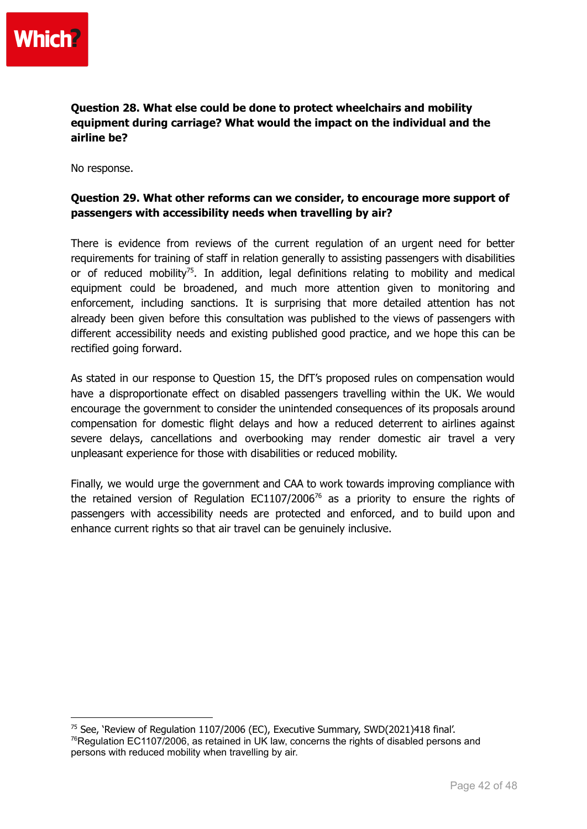**Question 28. What else could be done to protect wheelchairs and mobility equipment during carriage? What would the impact on the individual and the airline be?**

No response.

#### **Question 29. What other reforms can we consider, to encourage more support of passengers with accessibility needs when travelling by air?**

There is evidence from reviews of the current regulation of an urgent need for better requirements for training of staff in relation generally to assisting passengers with disabilities or of reduced mobility<sup>75</sup>. In addition, legal definitions relating to mobility and medical equipment could be broadened, and much more attention given to monitoring and enforcement, including sanctions. It is surprising that more detailed attention has not already been given before this consultation was published to the views of passengers with different accessibility needs and existing published good practice, and we hope this can be rectified going forward.

As stated in our response to Question 15, the DfT's proposed rules on compensation would have a disproportionate effect on disabled passengers travelling within the UK. We would encourage the government to consider the unintended consequences of its proposals around compensation for domestic flight delays and how a reduced deterrent to airlines against severe delays, cancellations and overbooking may render domestic air travel a very unpleasant experience for those with disabilities or reduced mobility.

Finally, we would urge the government and CAA to work towards improving compliance with the retained version of Regulation EC1107/2006<sup>76</sup> as a priority to ensure the rights of passengers with accessibility needs are protected and enforced, and to build upon and enhance current rights so that air travel can be genuinely inclusive.

 $76$ Regulation EC1107/2006, as retained in UK law, concerns the rights of disabled persons and persons with reduced mobility when travelling by air. <sup>75</sup> See, 'Review of Regulation 1107/2006 (EC), Executive Summary, SWD(2021)418 final'.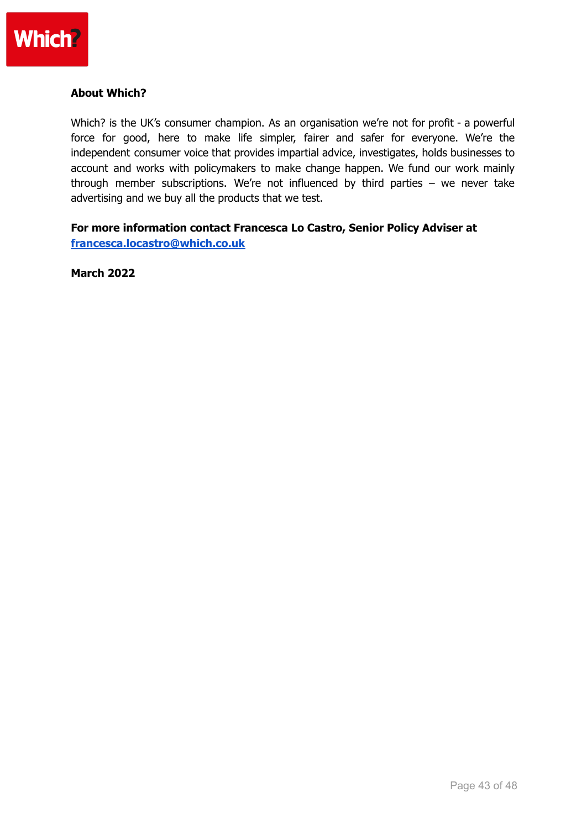

#### **About Which?**

Which? is the UK's consumer champion. As an organisation we're not for profit - a powerful force for good, here to make life simpler, fairer and safer for everyone. We're the independent consumer voice that provides impartial advice, investigates, holds businesses to account and works with policymakers to make change happen. We fund our work mainly through member subscriptions. We're not influenced by third parties – we never take advertising and we buy all the products that we test.

#### **For more information contact Francesca Lo Castro, Senior Policy Adviser at [francesca.locastro@which.co.uk](mailto:francesca.locastro@which.co.uk)**

**March 2022**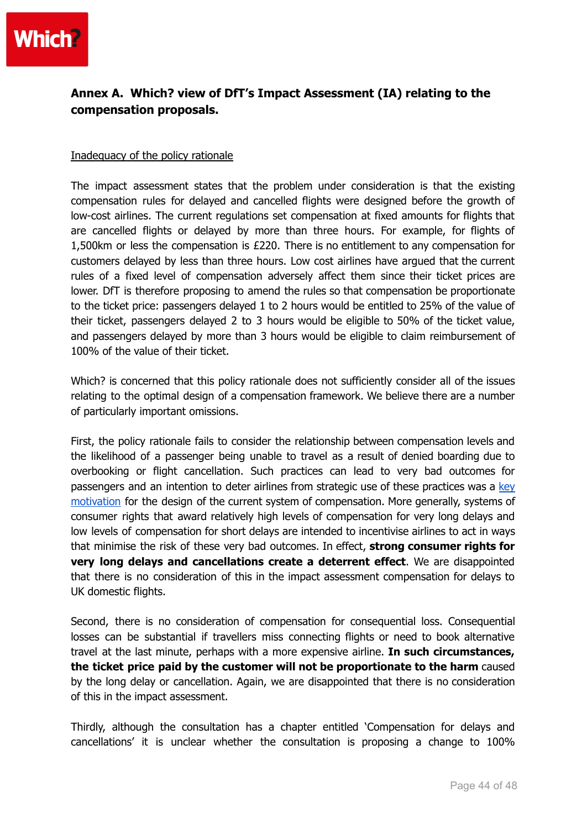

## **Annex A. Which? view of DfT's Impact Assessment (IA) relating to the compensation proposals.**

#### Inadequacy of the policy rationale

The impact assessment states that the problem under consideration is that the existing compensation rules for delayed and cancelled flights were designed before the growth of low-cost airlines. The current regulations set compensation at fixed amounts for flights that are cancelled flights or delayed by more than three hours. For example, for flights of 1,500km or less the compensation is £220. There is no entitlement to any compensation for customers delayed by less than three hours. Low cost airlines have argued that the current rules of a fixed level of compensation adversely affect them since their ticket prices are lower. DfT is therefore proposing to amend the rules so that compensation be proportionate to the ticket price: passengers delayed 1 to 2 hours would be entitled to 25% of the value of their ticket, passengers delayed 2 to 3 hours would be eligible to 50% of the ticket value, and passengers delayed by more than 3 hours would be eligible to claim reimbursement of 100% of the value of their ticket.

Which? is concerned that this policy rationale does not sufficiently consider all of the issues relating to the optimal design of a compensation framework. We believe there are a number of particularly important omissions.

First, the policy rationale fails to consider the relationship between compensation levels and the likelihood of a passenger being unable to travel as a result of denied boarding due to overbooking or flight cancellation. Such practices can lead to very bad outcomes for passengers and an intention to deter airlines from strategic use of these practices was a [key](https://ec.europa.eu/commission/presscorner/detail/en/IP_05_181) [motivation](https://ec.europa.eu/commission/presscorner/detail/en/IP_05_181) for the design of the current system of compensation. More generally, systems of consumer rights that award relatively high levels of compensation for very long delays and low levels of compensation for short delays are intended to incentivise airlines to act in ways that minimise the risk of these very bad outcomes. In effect, **strong consumer rights for very long delays and cancellations create a deterrent effect**. We are disappointed that there is no consideration of this in the impact assessment compensation for delays to UK domestic flights.

Second, there is no consideration of compensation for consequential loss. Consequential losses can be substantial if travellers miss connecting flights or need to book alternative travel at the last minute, perhaps with a more expensive airline. **In such circumstances, the ticket price paid by the customer will not be proportionate to the harm** caused by the long delay or cancellation. Again, we are disappointed that there is no consideration of this in the impact assessment.

Thirdly, although the consultation has a chapter entitled 'Compensation for delays and cancellations' it is unclear whether the consultation is proposing a change to 100%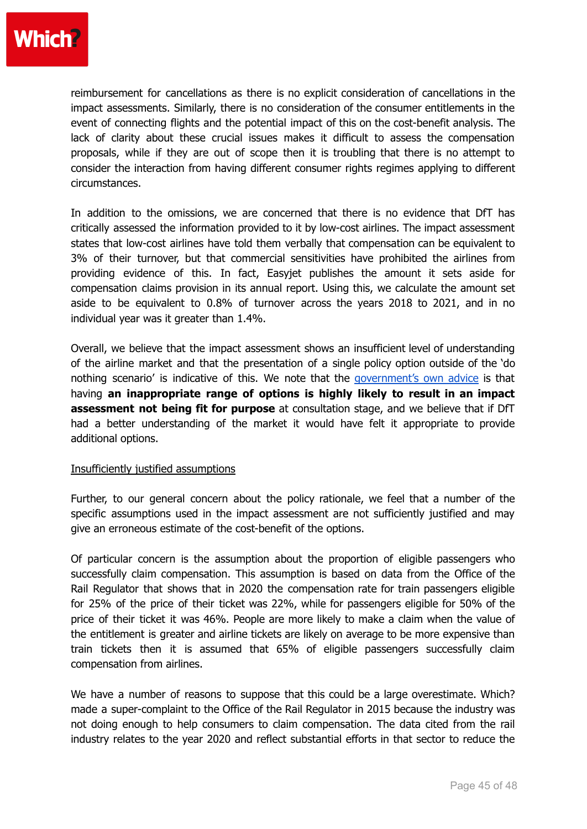

reimbursement for cancellations as there is no explicit consideration of cancellations in the impact assessments. Similarly, there is no consideration of the consumer entitlements in the event of connecting flights and the potential impact of this on the cost-benefit analysis. The lack of clarity about these crucial issues makes it difficult to assess the compensation proposals, while if they are out of scope then it is troubling that there is no attempt to consider the interaction from having different consumer rights regimes applying to different circumstances.

In addition to the omissions, we are concerned that there is no evidence that DfT has critically assessed the information provided to it by low-cost airlines. The impact assessment states that low-cost airlines have told them verbally that compensation can be equivalent to 3% of their turnover, but that commercial sensitivities have prohibited the airlines from providing evidence of this. In fact, Easyjet publishes the amount it sets aside for compensation claims provision in its annual report. Using this, we calculate the amount set aside to be equivalent to 0.8% of turnover across the years 2018 to 2021, and in no individual year was it greater than 1.4%.

Overall, we believe that the impact assessment shows an insufficient level of understanding of the airline market and that the presentation of a single policy option outside of the 'do nothing scenario' is indicative of this. We note that the [government's](https://assets.publishing.service.gov.uk/government/uploads/system/uploads/attachment_data/file/922179/RPC_case_histories_-_options_Sep_20.pdf) own advice is that having **an inappropriate range of options is highly likely to result in an impact assessment not being fit for purpose** at consultation stage, and we believe that if DfT had a better understanding of the market it would have felt it appropriate to provide additional options.

#### Insufficiently justified assumptions

Further, to our general concern about the policy rationale, we feel that a number of the specific assumptions used in the impact assessment are not sufficiently justified and may give an erroneous estimate of the cost-benefit of the options.

Of particular concern is the assumption about the proportion of eligible passengers who successfully claim compensation. This assumption is based on data from the Office of the Rail Regulator that shows that in 2020 the compensation rate for train passengers eligible for 25% of the price of their ticket was 22%, while for passengers eligible for 50% of the price of their ticket it was 46%. People are more likely to make a claim when the value of the entitlement is greater and airline tickets are likely on average to be more expensive than train tickets then it is assumed that 65% of eligible passengers successfully claim compensation from airlines.

We have a number of reasons to suppose that this could be a large overestimate. Which? made a super-complaint to the Office of the Rail Regulator in 2015 because the industry was not doing enough to help consumers to claim compensation. The data cited from the rail industry relates to the year 2020 and reflect substantial efforts in that sector to reduce the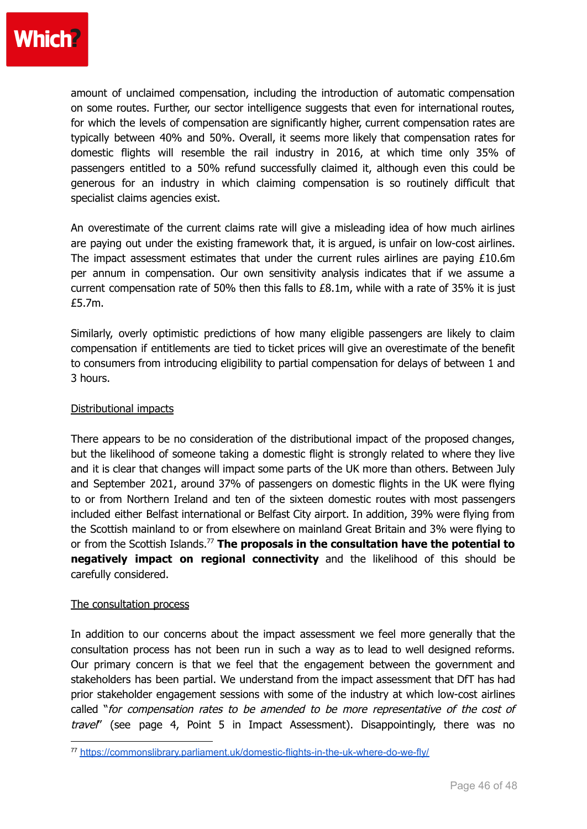

amount of unclaimed compensation, including the introduction of automatic compensation on some routes. Further, our sector intelligence suggests that even for international routes, for which the levels of compensation are significantly higher, current compensation rates are typically between 40% and 50%. Overall, it seems more likely that compensation rates for domestic flights will resemble the rail industry in 2016, at which time only 35% of passengers entitled to a 50% refund successfully claimed it, although even this could be generous for an industry in which claiming compensation is so routinely difficult that specialist claims agencies exist.

An overestimate of the current claims rate will give a misleading idea of how much airlines are paying out under the existing framework that, it is argued, is unfair on low-cost airlines. The impact assessment estimates that under the current rules airlines are paying  $£10.6m$ per annum in compensation. Our own sensitivity analysis indicates that if we assume a current compensation rate of 50% then this falls to £8.1m, while with a rate of 35% it is just £5.7m.

Similarly, overly optimistic predictions of how many eligible passengers are likely to claim compensation if entitlements are tied to ticket prices will give an overestimate of the benefit to consumers from introducing eligibility to partial compensation for delays of between 1 and 3 hours.

#### Distributional impacts

There appears to be no consideration of the distributional impact of the proposed changes, but the likelihood of someone taking a domestic flight is strongly related to where they live and it is clear that changes will impact some parts of the UK more than others. Between July and September 2021, around 37% of passengers on domestic flights in the UK were flying to or from Northern Ireland and ten of the sixteen domestic routes with most passengers included either Belfast international or Belfast City airport. In addition, 39% were flying from the Scottish mainland to or from elsewhere on mainland Great Britain and 3% were flying to or from the Scottish Islands. <sup>77</sup> **The proposals in the consultation have the potential to negatively impact on regional connectivity** and the likelihood of this should be carefully considered.

#### The consultation process

In addition to our concerns about the impact assessment we feel more generally that the consultation process has not been run in such a way as to lead to well designed reforms. Our primary concern is that we feel that the engagement between the government and stakeholders has been partial. We understand from the impact assessment that DfT has had prior stakeholder engagement sessions with some of the industry at which low-cost airlines called "for compensation rates to be amended to be more representative of the cost of travel" (see page 4, Point 5 in Impact Assessment). Disappointingly, there was no

<sup>77</sup> <https://commonslibrary.parliament.uk/domestic-flights-in-the-uk-where-do-we-fly/>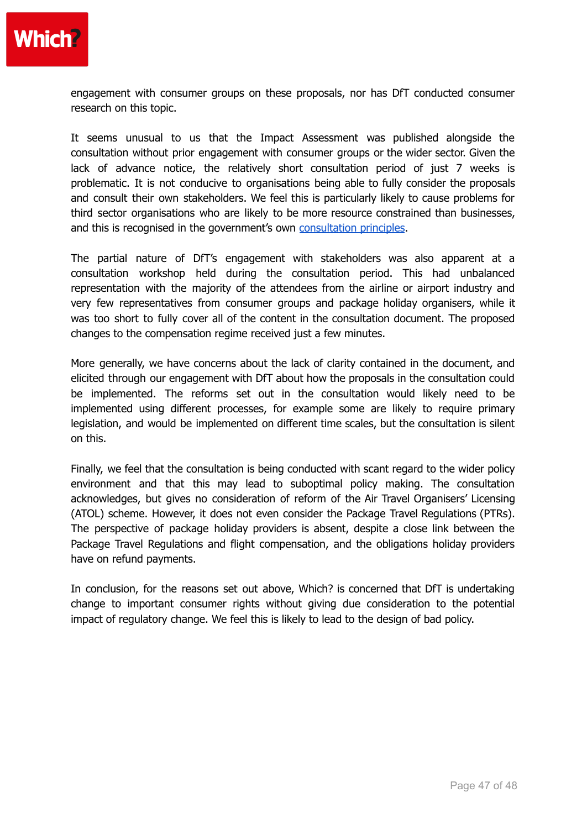

engagement with consumer groups on these proposals, nor has DfT conducted consumer research on this topic.

It seems unusual to us that the Impact Assessment was published alongside the consultation without prior engagement with consumer groups or the wider sector. Given the lack of advance notice, the relatively short consultation period of just 7 weeks is problematic. It is not conducive to organisations being able to fully consider the proposals and consult their own stakeholders. We feel this is particularly likely to cause problems for third sector organisations who are likely to be more resource constrained than businesses, and this is recognised in the government's own [consultation](https://www.gov.uk/government/publications/consultation-principles-guidance) principles.

The partial nature of DfT's engagement with stakeholders was also apparent at a consultation workshop held during the consultation period. This had unbalanced representation with the majority of the attendees from the airline or airport industry and very few representatives from consumer groups and package holiday organisers, while it was too short to fully cover all of the content in the consultation document. The proposed changes to the compensation regime received just a few minutes.

More generally, we have concerns about the lack of clarity contained in the document, and elicited through our engagement with DfT about how the proposals in the consultation could be implemented. The reforms set out in the consultation would likely need to be implemented using different processes, for example some are likely to require primary legislation, and would be implemented on different time scales, but the consultation is silent on this.

Finally, we feel that the consultation is being conducted with scant regard to the wider policy environment and that this may lead to suboptimal policy making. The consultation acknowledges, but gives no consideration of reform of the Air Travel Organisers' Licensing (ATOL) scheme. However, it does not even consider the Package Travel Regulations (PTRs). The perspective of package holiday providers is absent, despite a close link between the Package Travel Regulations and flight compensation, and the obligations holiday providers have on refund payments.

In conclusion, for the reasons set out above, Which? is concerned that DfT is undertaking change to important consumer rights without giving due consideration to the potential impact of regulatory change. We feel this is likely to lead to the design of bad policy.